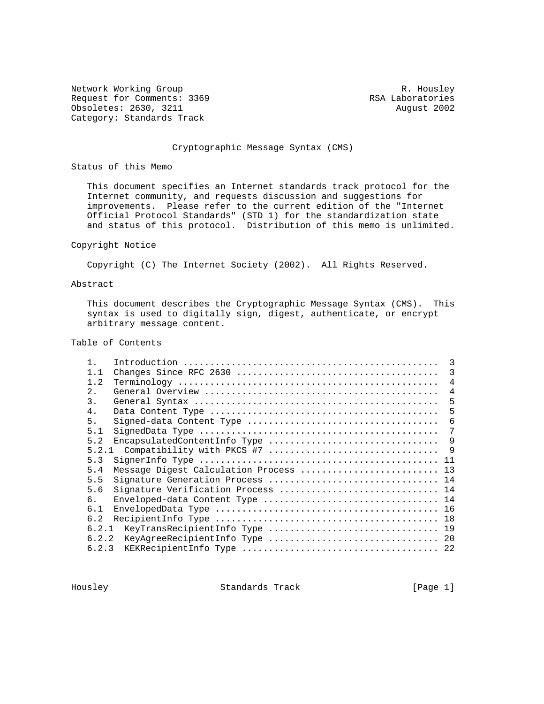Network Working Group and the set of the set of the set of the R. Housley Request for Comments: 3369 RSA Laboratories<br>
0bsoletes: 2630, 3211 August 2002 Obsoletes: 2630, 3211 Category: Standards Track

## Cryptographic Message Syntax (CMS)

Status of this Memo

 This document specifies an Internet standards track protocol for the Internet community, and requests discussion and suggestions for improvements. Please refer to the current edition of the "Internet Official Protocol Standards" (STD 1) for the standardization state and status of this protocol. Distribution of this memo is unlimited.

## Copyright Notice

Copyright (C) The Internet Society (2002). All Rights Reserved.

# Abstract

 This document describes the Cryptographic Message Syntax (CMS). This syntax is used to digitally sign, digest, authenticate, or encrypt arbitrary message content.

# Table of Contents

| 1.1   |                                        | 3              |
|-------|----------------------------------------|----------------|
| 1.2   |                                        | $\overline{4}$ |
| 2.1   |                                        | $\overline{4}$ |
| 3.    |                                        | 5              |
| 4.    |                                        | 5              |
| 5.    |                                        | 6              |
| 5.1   |                                        | 7              |
| 5.2   | EncapsulatedContentInfo Type           | 9              |
|       |                                        | - 9            |
| 5.3   |                                        |                |
| 5.4   | Message Digest Calculation Process  13 |                |
| 5.5   | Signature Generation Process  14       |                |
| 5.6   | Signature Verification Process  14     |                |
| რ.    | Enveloped-data Content Type  14        |                |
| 6.1   |                                        |                |
| 6.2   |                                        |                |
| 6.2.1 | KeyTransRecipientInfo Type  19         |                |
| 6.2.2 |                                        |                |
| 6.2.3 |                                        |                |
|       |                                        |                |

Housley Standards Track [Page 1]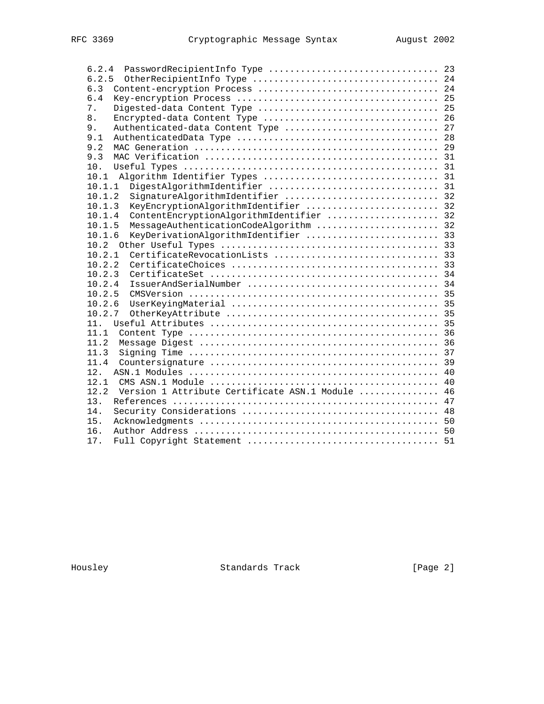| 6.2.4                                                    |  |
|----------------------------------------------------------|--|
| 6.2.5                                                    |  |
| 6.3                                                      |  |
| 6.4                                                      |  |
| 7.                                                       |  |
| Encrypted-data Content Type  26<br>8.                    |  |
| Authenticated-data Content Type  27<br>9.                |  |
| 9.1                                                      |  |
| 9.2                                                      |  |
| 9.3                                                      |  |
| 10.                                                      |  |
| 10.1                                                     |  |
| 10.1.1                                                   |  |
| SignatureAlgorithmIdentifier  32<br>10.1.2               |  |
| KeyEncryptionAlgorithmIdentifier  32<br>10.1.3           |  |
| ContentEncryptionAlgorithmIdentifier  32<br>10.1.4       |  |
| MessageAuthenticationCodeAlgorithm  32<br>10.1.5         |  |
| KeyDerivationAlgorithmIdentifier  33<br>10.1.6           |  |
|                                                          |  |
| 10.2.1                                                   |  |
| 10.2.2                                                   |  |
| 10.2.3                                                   |  |
| 10.2.4                                                   |  |
| 10.2.5                                                   |  |
| 10.2.6                                                   |  |
| 10.2.7                                                   |  |
| 11.                                                      |  |
| 11.1                                                     |  |
| 11.2                                                     |  |
| 11.3                                                     |  |
| 11.4                                                     |  |
| 12.                                                      |  |
| 12.1                                                     |  |
| Version 1 Attribute Certificate ASN.1 Module  46<br>12.2 |  |
| 13.                                                      |  |
| 14.                                                      |  |
| 15.                                                      |  |
| 16.                                                      |  |
| 17.                                                      |  |
|                                                          |  |

Housley Standards Track [Page 2]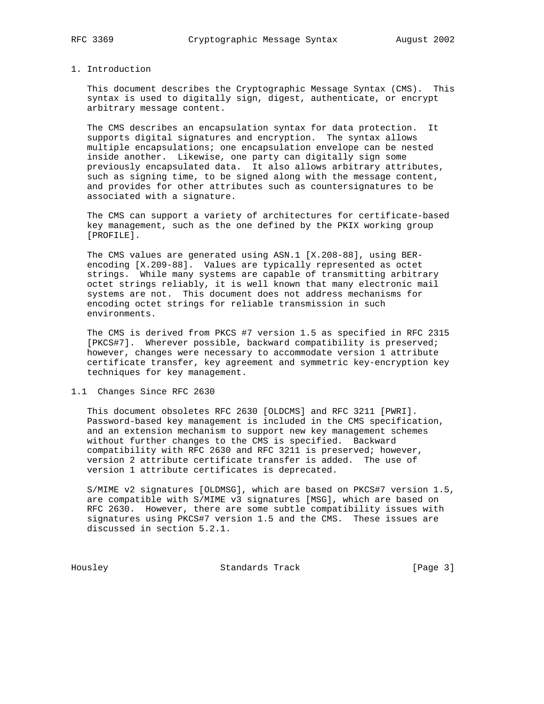#### 1. Introduction

 This document describes the Cryptographic Message Syntax (CMS). This syntax is used to digitally sign, digest, authenticate, or encrypt arbitrary message content.

 The CMS describes an encapsulation syntax for data protection. It supports digital signatures and encryption. The syntax allows multiple encapsulations; one encapsulation envelope can be nested inside another. Likewise, one party can digitally sign some previously encapsulated data. It also allows arbitrary attributes, such as signing time, to be signed along with the message content, and provides for other attributes such as countersignatures to be associated with a signature.

 The CMS can support a variety of architectures for certificate-based key management, such as the one defined by the PKIX working group [PROFILE].

 The CMS values are generated using ASN.1 [X.208-88], using BER encoding [X.209-88]. Values are typically represented as octet strings. While many systems are capable of transmitting arbitrary octet strings reliably, it is well known that many electronic mail systems are not. This document does not address mechanisms for encoding octet strings for reliable transmission in such environments.

 The CMS is derived from PKCS #7 version 1.5 as specified in RFC 2315 [PKCS#7]. Wherever possible, backward compatibility is preserved; however, changes were necessary to accommodate version 1 attribute certificate transfer, key agreement and symmetric key-encryption key techniques for key management.

1.1 Changes Since RFC 2630

 This document obsoletes RFC 2630 [OLDCMS] and RFC 3211 [PWRI]. Password-based key management is included in the CMS specification, and an extension mechanism to support new key management schemes without further changes to the CMS is specified. Backward compatibility with RFC 2630 and RFC 3211 is preserved; however, version 2 attribute certificate transfer is added. The use of version 1 attribute certificates is deprecated.

 S/MIME v2 signatures [OLDMSG], which are based on PKCS#7 version 1.5, are compatible with S/MIME v3 signatures [MSG], which are based on RFC 2630. However, there are some subtle compatibility issues with signatures using PKCS#7 version 1.5 and the CMS. These issues are discussed in section 5.2.1.

Housley Standards Track [Page 3]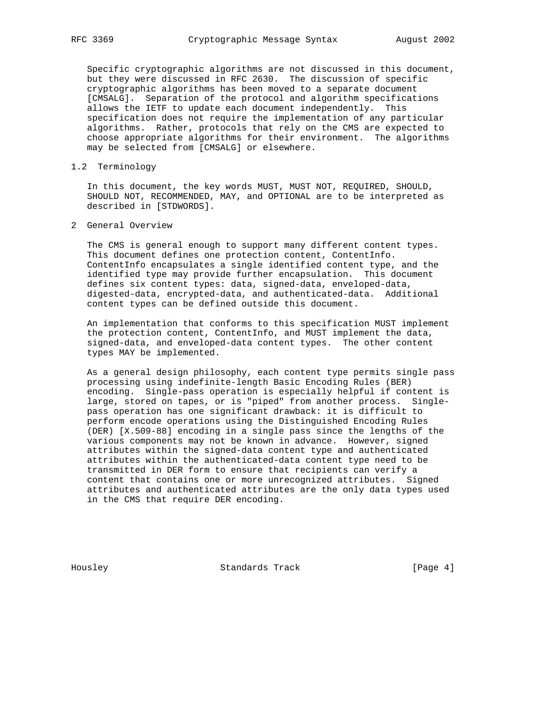Specific cryptographic algorithms are not discussed in this document, but they were discussed in RFC 2630. The discussion of specific cryptographic algorithms has been moved to a separate document [CMSALG]. Separation of the protocol and algorithm specifications allows the IETF to update each document independently. This specification does not require the implementation of any particular algorithms. Rather, protocols that rely on the CMS are expected to choose appropriate algorithms for their environment. The algorithms may be selected from [CMSALG] or elsewhere.

## 1.2 Terminology

 In this document, the key words MUST, MUST NOT, REQUIRED, SHOULD, SHOULD NOT, RECOMMENDED, MAY, and OPTIONAL are to be interpreted as described in [STDWORDS].

2 General Overview

 The CMS is general enough to support many different content types. This document defines one protection content, ContentInfo. ContentInfo encapsulates a single identified content type, and the identified type may provide further encapsulation. This document defines six content types: data, signed-data, enveloped-data, digested-data, encrypted-data, and authenticated-data. Additional content types can be defined outside this document.

 An implementation that conforms to this specification MUST implement the protection content, ContentInfo, and MUST implement the data, signed-data, and enveloped-data content types. The other content types MAY be implemented.

 As a general design philosophy, each content type permits single pass processing using indefinite-length Basic Encoding Rules (BER) encoding. Single-pass operation is especially helpful if content is large, stored on tapes, or is "piped" from another process. Single pass operation has one significant drawback: it is difficult to perform encode operations using the Distinguished Encoding Rules (DER) [X.509-88] encoding in a single pass since the lengths of the various components may not be known in advance. However, signed attributes within the signed-data content type and authenticated attributes within the authenticated-data content type need to be transmitted in DER form to ensure that recipients can verify a content that contains one or more unrecognized attributes. Signed attributes and authenticated attributes are the only data types used in the CMS that require DER encoding.

Housley Standards Track [Page 4]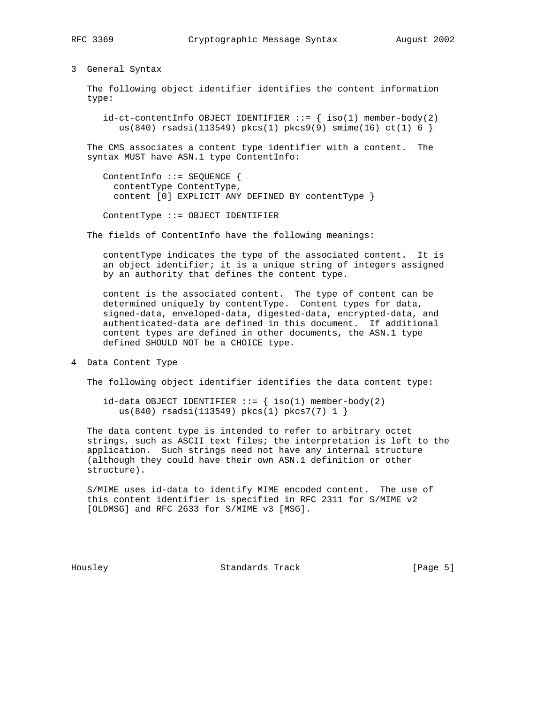#### 3 General Syntax

 The following object identifier identifies the content information type:

 $id-ct-contentInfo OBJECT IDENTIFIER ::=\{ iso(1) member-body(2)$ us(840) rsadsi(113549) pkcs(1) pkcs9(9) smime(16) ct(1)  $6$  }

 The CMS associates a content type identifier with a content. The syntax MUST have ASN.1 type ContentInfo:

```
 ContentInfo ::= SEQUENCE {
   contentType ContentType,
   content [0] EXPLICIT ANY DEFINED BY contentType }
```
ContentType ::= OBJECT IDENTIFIER

The fields of ContentInfo have the following meanings:

 contentType indicates the type of the associated content. It is an object identifier; it is a unique string of integers assigned by an authority that defines the content type.

 content is the associated content. The type of content can be determined uniquely by contentType. Content types for data, signed-data, enveloped-data, digested-data, encrypted-data, and authenticated-data are defined in this document. If additional content types are defined in other documents, the ASN.1 type defined SHOULD NOT be a CHOICE type.

4 Data Content Type

The following object identifier identifies the data content type:

id-data OBJECT IDENTIFIER  $::=$  { iso(1) member-body(2) us(840) rsadsi(113549) pkcs(1) pkcs7(7) 1 }

 The data content type is intended to refer to arbitrary octet strings, such as ASCII text files; the interpretation is left to the application. Such strings need not have any internal structure (although they could have their own ASN.1 definition or other structure).

 S/MIME uses id-data to identify MIME encoded content. The use of this content identifier is specified in RFC 2311 for S/MIME v2 [OLDMSG] and RFC 2633 for S/MIME v3 [MSG].

Housley Standards Track [Page 5]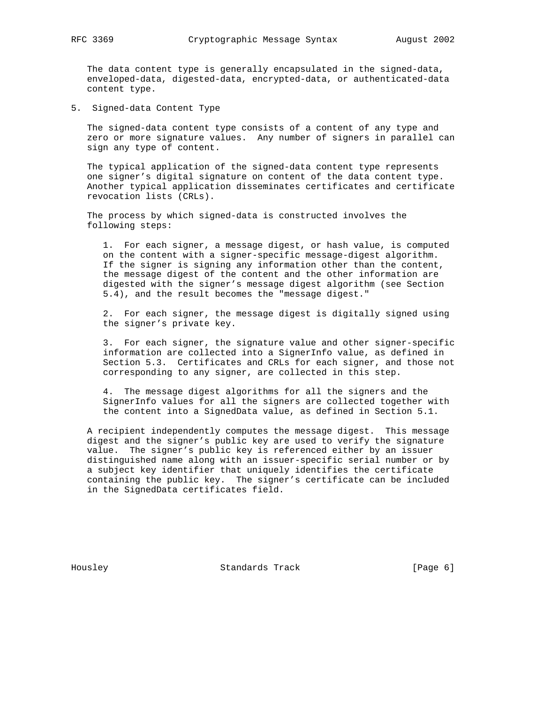The data content type is generally encapsulated in the signed-data, enveloped-data, digested-data, encrypted-data, or authenticated-data content type.

5. Signed-data Content Type

 The signed-data content type consists of a content of any type and zero or more signature values. Any number of signers in parallel can sign any type of content.

 The typical application of the signed-data content type represents one signer's digital signature on content of the data content type. Another typical application disseminates certificates and certificate revocation lists (CRLs).

 The process by which signed-data is constructed involves the following steps:

 1. For each signer, a message digest, or hash value, is computed on the content with a signer-specific message-digest algorithm. If the signer is signing any information other than the content, the message digest of the content and the other information are digested with the signer's message digest algorithm (see Section 5.4), and the result becomes the "message digest."

 2. For each signer, the message digest is digitally signed using the signer's private key.

 3. For each signer, the signature value and other signer-specific information are collected into a SignerInfo value, as defined in Section 5.3. Certificates and CRLs for each signer, and those not corresponding to any signer, are collected in this step.

 4. The message digest algorithms for all the signers and the SignerInfo values for all the signers are collected together with the content into a SignedData value, as defined in Section 5.1.

 A recipient independently computes the message digest. This message digest and the signer's public key are used to verify the signature value. The signer's public key is referenced either by an issuer distinguished name along with an issuer-specific serial number or by a subject key identifier that uniquely identifies the certificate containing the public key. The signer's certificate can be included in the SignedData certificates field.

Housley Standards Track [Page 6]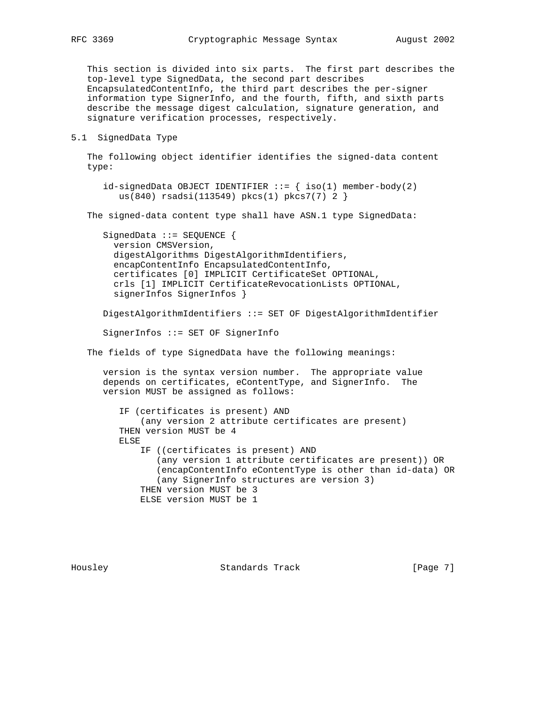This section is divided into six parts. The first part describes the top-level type SignedData, the second part describes EncapsulatedContentInfo, the third part describes the per-signer information type SignerInfo, and the fourth, fifth, and sixth parts describe the message digest calculation, signature generation, and signature verification processes, respectively.

#### 5.1 SignedData Type

 The following object identifier identifies the signed-data content type:

```
id-signedData OBJECT IDENTIFIER ::= { iso(1) member-body(2)
   us(840) rsadsi(113549) pkcs(1) pkcs7(7) 2 }
```
The signed-data content type shall have ASN.1 type SignedData:

 SignedData ::= SEQUENCE { version CMSVersion, digestAlgorithms DigestAlgorithmIdentifiers, encapContentInfo EncapsulatedContentInfo, certificates [0] IMPLICIT CertificateSet OPTIONAL, crls [1] IMPLICIT CertificateRevocationLists OPTIONAL, signerInfos SignerInfos }

DigestAlgorithmIdentifiers ::= SET OF DigestAlgorithmIdentifier

SignerInfos ::= SET OF SignerInfo

The fields of type SignedData have the following meanings:

 version is the syntax version number. The appropriate value depends on certificates, eContentType, and SignerInfo. The version MUST be assigned as follows:

 IF (certificates is present) AND (any version 2 attribute certificates are present) THEN version MUST be 4 ELSE IF ((certificates is present) AND (any version 1 attribute certificates are present)) OR (encapContentInfo eContentType is other than id-data) OR (any SignerInfo structures are version 3) THEN version MUST be 3 ELSE version MUST be 1

Housley Standards Track [Page 7]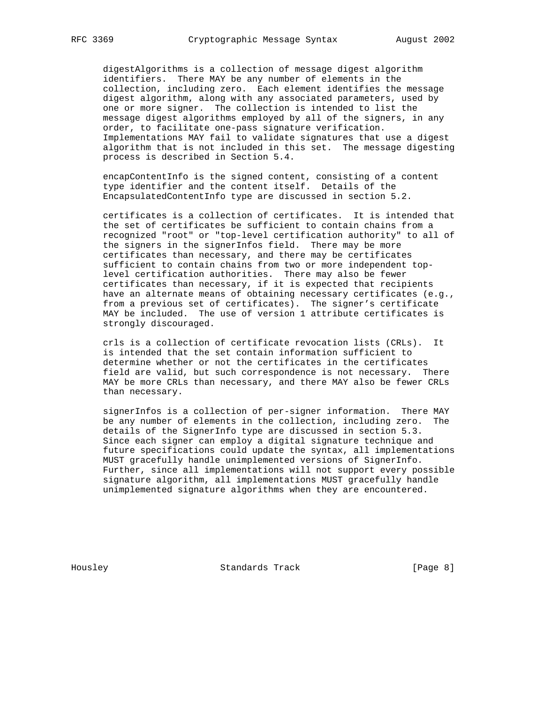digestAlgorithms is a collection of message digest algorithm identifiers. There MAY be any number of elements in the collection, including zero. Each element identifies the message digest algorithm, along with any associated parameters, used by one or more signer. The collection is intended to list the message digest algorithms employed by all of the signers, in any order, to facilitate one-pass signature verification. Implementations MAY fail to validate signatures that use a digest algorithm that is not included in this set. The message digesting process is described in Section 5.4.

 encapContentInfo is the signed content, consisting of a content type identifier and the content itself. Details of the EncapsulatedContentInfo type are discussed in section 5.2.

 certificates is a collection of certificates. It is intended that the set of certificates be sufficient to contain chains from a recognized "root" or "top-level certification authority" to all of the signers in the signerInfos field. There may be more certificates than necessary, and there may be certificates sufficient to contain chains from two or more independent top level certification authorities. There may also be fewer certificates than necessary, if it is expected that recipients have an alternate means of obtaining necessary certificates (e.g., from a previous set of certificates). The signer's certificate MAY be included. The use of version 1 attribute certificates is strongly discouraged.

 crls is a collection of certificate revocation lists (CRLs). It is intended that the set contain information sufficient to determine whether or not the certificates in the certificates field are valid, but such correspondence is not necessary. There MAY be more CRLs than necessary, and there MAY also be fewer CRLs than necessary.

 signerInfos is a collection of per-signer information. There MAY be any number of elements in the collection, including zero. The details of the SignerInfo type are discussed in section 5.3. Since each signer can employ a digital signature technique and future specifications could update the syntax, all implementations MUST gracefully handle unimplemented versions of SignerInfo. Further, since all implementations will not support every possible signature algorithm, all implementations MUST gracefully handle unimplemented signature algorithms when they are encountered.

Housley **Standards Track** [Page 8]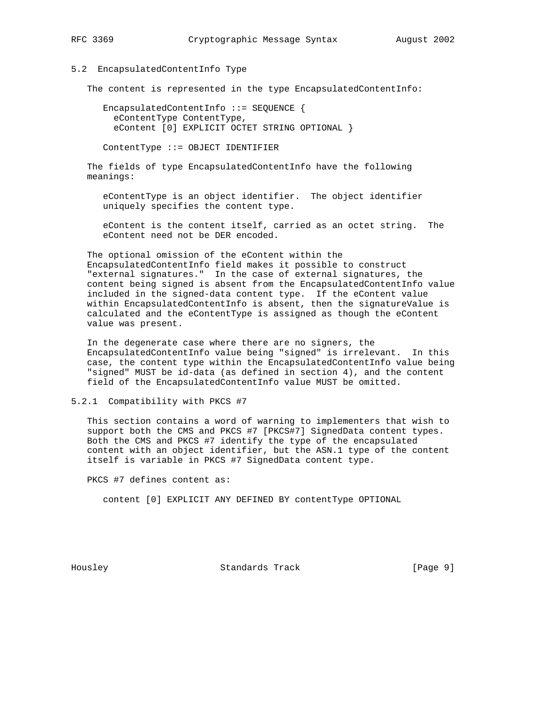#### 5.2 EncapsulatedContentInfo Type

The content is represented in the type EncapsulatedContentInfo:

 EncapsulatedContentInfo ::= SEQUENCE { eContentType ContentType, eContent [0] EXPLICIT OCTET STRING OPTIONAL }

ContentType ::= OBJECT IDENTIFIER

 The fields of type EncapsulatedContentInfo have the following meanings:

 eContentType is an object identifier. The object identifier uniquely specifies the content type.

 eContent is the content itself, carried as an octet string. The eContent need not be DER encoded.

 The optional omission of the eContent within the EncapsulatedContentInfo field makes it possible to construct "external signatures." In the case of external signatures, the content being signed is absent from the EncapsulatedContentInfo value included in the signed-data content type. If the eContent value within EncapsulatedContentInfo is absent, then the signatureValue is calculated and the eContentType is assigned as though the eContent value was present.

 In the degenerate case where there are no signers, the EncapsulatedContentInfo value being "signed" is irrelevant. In this case, the content type within the EncapsulatedContentInfo value being "signed" MUST be id-data (as defined in section 4), and the content field of the EncapsulatedContentInfo value MUST be omitted.

5.2.1 Compatibility with PKCS #7

 This section contains a word of warning to implementers that wish to support both the CMS and PKCS #7 [PKCS#7] SignedData content types. Both the CMS and PKCS #7 identify the type of the encapsulated content with an object identifier, but the ASN.1 type of the content itself is variable in PKCS #7 SignedData content type.

PKCS #7 defines content as:

content [0] EXPLICIT ANY DEFINED BY contentType OPTIONAL

Housley Standards Track [Page 9]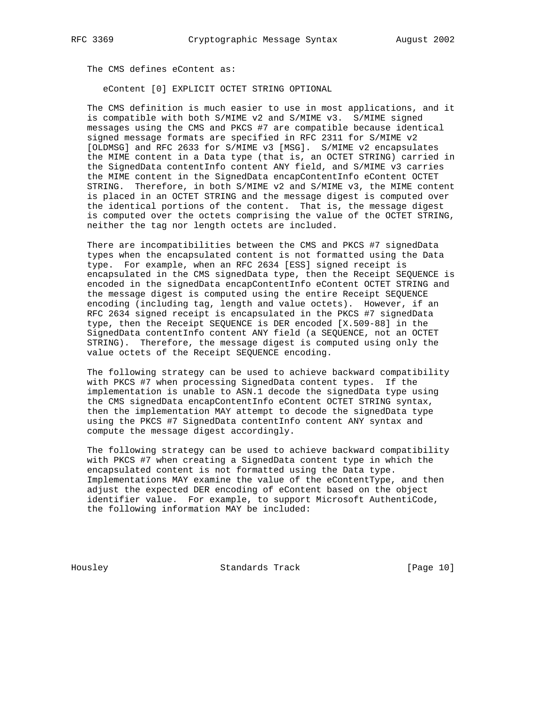The CMS defines eContent as:

eContent [0] EXPLICIT OCTET STRING OPTIONAL

 The CMS definition is much easier to use in most applications, and it is compatible with both S/MIME v2 and S/MIME v3. S/MIME signed messages using the CMS and PKCS #7 are compatible because identical signed message formats are specified in RFC 2311 for S/MIME v2 [OLDMSG] and RFC 2633 for S/MIME v3 [MSG]. S/MIME v2 encapsulates the MIME content in a Data type (that is, an OCTET STRING) carried in the SignedData contentInfo content ANY field, and S/MIME v3 carries the MIME content in the SignedData encapContentInfo eContent OCTET STRING. Therefore, in both S/MIME v2 and S/MIME v3, the MIME content is placed in an OCTET STRING and the message digest is computed over the identical portions of the content. That is, the message digest is computed over the octets comprising the value of the OCTET STRING, neither the tag nor length octets are included.

 There are incompatibilities between the CMS and PKCS #7 signedData types when the encapsulated content is not formatted using the Data type. For example, when an RFC 2634 [ESS] signed receipt is encapsulated in the CMS signedData type, then the Receipt SEQUENCE is encoded in the signedData encapContentInfo eContent OCTET STRING and the message digest is computed using the entire Receipt SEQUENCE encoding (including tag, length and value octets). However, if an RFC 2634 signed receipt is encapsulated in the PKCS #7 signedData type, then the Receipt SEQUENCE is DER encoded [X.509-88] in the SignedData contentInfo content ANY field (a SEQUENCE, not an OCTET STRING). Therefore, the message digest is computed using only the value octets of the Receipt SEQUENCE encoding.

 The following strategy can be used to achieve backward compatibility with PKCS #7 when processing SignedData content types. If the implementation is unable to ASN.1 decode the signedData type using the CMS signedData encapContentInfo eContent OCTET STRING syntax, then the implementation MAY attempt to decode the signedData type using the PKCS #7 SignedData contentInfo content ANY syntax and compute the message digest accordingly.

 The following strategy can be used to achieve backward compatibility with PKCS #7 when creating a SignedData content type in which the encapsulated content is not formatted using the Data type. Implementations MAY examine the value of the eContentType, and then adjust the expected DER encoding of eContent based on the object identifier value. For example, to support Microsoft AuthentiCode, the following information MAY be included:

Housley Standards Track [Page 10]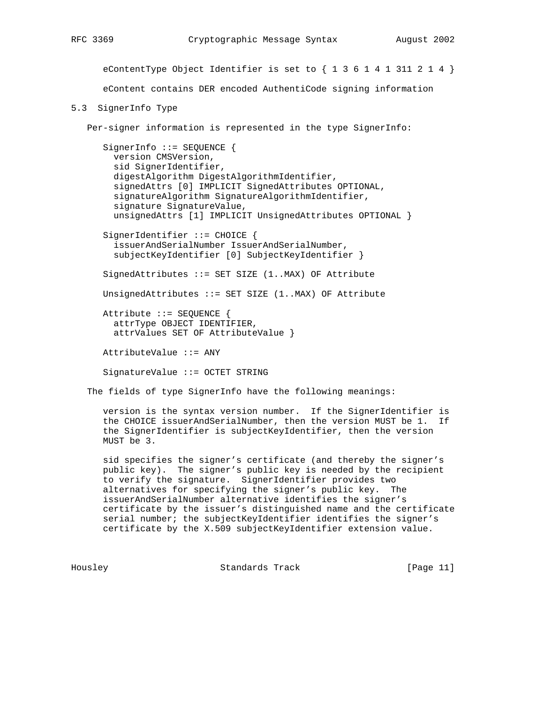eContentType Object Identifier is set to  $\{ 1 \ 3 \ 6 \ 1 \ 4 \ 1 \ 311 \ 2 \ 1 \ 4 \}$ 

eContent contains DER encoded AuthentiCode signing information

# 5.3 SignerInfo Type

Per-signer information is represented in the type SignerInfo:

SignerInfo ::= SEQUENCE { version CMSVersion, sid SignerIdentifier, digestAlgorithm DigestAlgorithmIdentifier, signedAttrs [0] IMPLICIT SignedAttributes OPTIONAL, signatureAlgorithm SignatureAlgorithmIdentifier, signature SignatureValue, unsignedAttrs [1] IMPLICIT UnsignedAttributes OPTIONAL } SignerIdentifier ::= CHOICE { issuerAndSerialNumber IssuerAndSerialNumber, subjectKeyIdentifier [0] SubjectKeyIdentifier } SignedAttributes ::= SET SIZE (1..MAX) OF Attribute UnsignedAttributes ::= SET SIZE (1..MAX) OF Attribute Attribute ::= SEQUENCE { attrType OBJECT IDENTIFIER, attrValues SET OF AttributeValue } AttributeValue ::= ANY

SignatureValue ::= OCTET STRING

The fields of type SignerInfo have the following meanings:

 version is the syntax version number. If the SignerIdentifier is the CHOICE issuerAndSerialNumber, then the version MUST be 1. If the SignerIdentifier is subjectKeyIdentifier, then the version MUST be 3.

 sid specifies the signer's certificate (and thereby the signer's public key). The signer's public key is needed by the recipient to verify the signature. SignerIdentifier provides two alternatives for specifying the signer's public key. The issuerAndSerialNumber alternative identifies the signer's certificate by the issuer's distinguished name and the certificate serial number; the subjectKeyIdentifier identifies the signer's certificate by the X.509 subjectKeyIdentifier extension value.

Housley **Standards Track** [Page 11]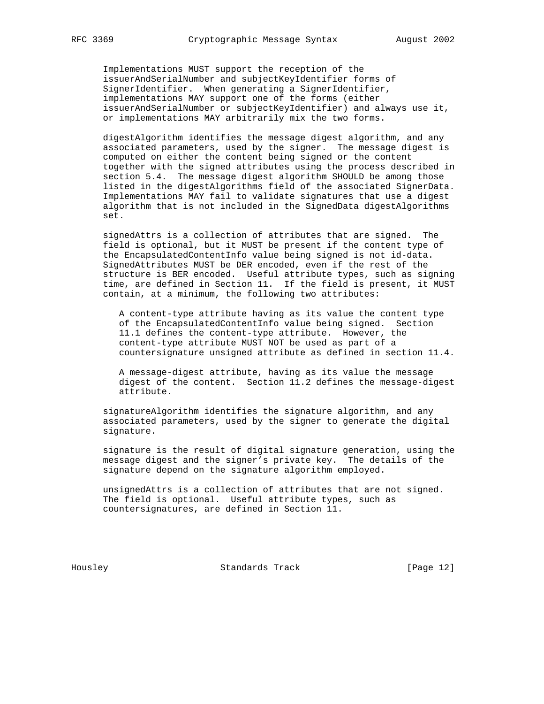Implementations MUST support the reception of the issuerAndSerialNumber and subjectKeyIdentifier forms of SignerIdentifier. When generating a SignerIdentifier, implementations MAY support one of the forms (either issuerAndSerialNumber or subjectKeyIdentifier) and always use it, or implementations MAY arbitrarily mix the two forms.

 digestAlgorithm identifies the message digest algorithm, and any associated parameters, used by the signer. The message digest is computed on either the content being signed or the content together with the signed attributes using the process described in section 5.4. The message digest algorithm SHOULD be among those listed in the digestAlgorithms field of the associated SignerData. Implementations MAY fail to validate signatures that use a digest algorithm that is not included in the SignedData digestAlgorithms set.

 signedAttrs is a collection of attributes that are signed. The field is optional, but it MUST be present if the content type of the EncapsulatedContentInfo value being signed is not id-data. SignedAttributes MUST be DER encoded, even if the rest of the structure is BER encoded. Useful attribute types, such as signing time, are defined in Section 11. If the field is present, it MUST contain, at a minimum, the following two attributes:

 A content-type attribute having as its value the content type of the EncapsulatedContentInfo value being signed. Section 11.1 defines the content-type attribute. However, the content-type attribute MUST NOT be used as part of a countersignature unsigned attribute as defined in section 11.4.

 A message-digest attribute, having as its value the message digest of the content. Section 11.2 defines the message-digest attribute.

 signatureAlgorithm identifies the signature algorithm, and any associated parameters, used by the signer to generate the digital signature.

 signature is the result of digital signature generation, using the message digest and the signer's private key. The details of the signature depend on the signature algorithm employed.

 unsignedAttrs is a collection of attributes that are not signed. The field is optional. Useful attribute types, such as countersignatures, are defined in Section 11.

Housley Standards Track [Page 12]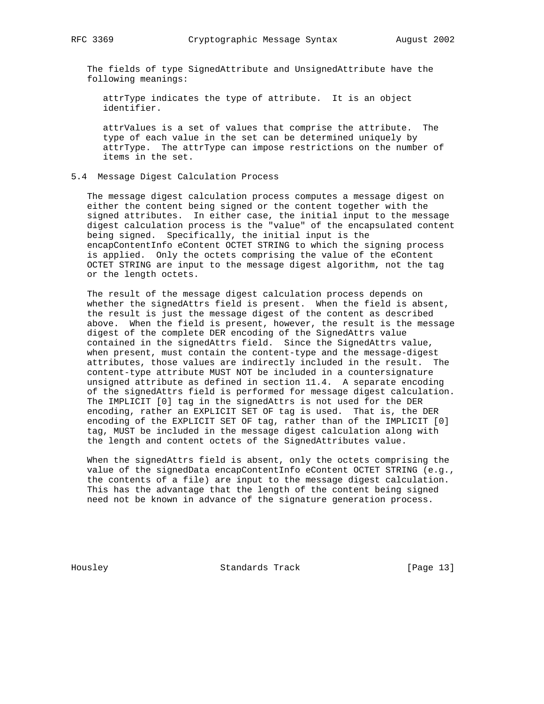The fields of type SignedAttribute and UnsignedAttribute have the following meanings:

 attrType indicates the type of attribute. It is an object identifier.

 attrValues is a set of values that comprise the attribute. The type of each value in the set can be determined uniquely by attrType. The attrType can impose restrictions on the number of items in the set.

# 5.4 Message Digest Calculation Process

 The message digest calculation process computes a message digest on either the content being signed or the content together with the signed attributes. In either case, the initial input to the message digest calculation process is the "value" of the encapsulated content being signed. Specifically, the initial input is the encapContentInfo eContent OCTET STRING to which the signing process is applied. Only the octets comprising the value of the eContent OCTET STRING are input to the message digest algorithm, not the tag or the length octets.

 The result of the message digest calculation process depends on whether the signedAttrs field is present. When the field is absent, the result is just the message digest of the content as described above. When the field is present, however, the result is the message digest of the complete DER encoding of the SignedAttrs value contained in the signedAttrs field. Since the SignedAttrs value, when present, must contain the content-type and the message-digest attributes, those values are indirectly included in the result. The content-type attribute MUST NOT be included in a countersignature unsigned attribute as defined in section 11.4. A separate encoding of the signedAttrs field is performed for message digest calculation. The IMPLICIT [0] tag in the signedAttrs is not used for the DER encoding, rather an EXPLICIT SET OF tag is used. That is, the DER encoding of the EXPLICIT SET OF tag, rather than of the IMPLICIT [0] tag, MUST be included in the message digest calculation along with the length and content octets of the SignedAttributes value.

 When the signedAttrs field is absent, only the octets comprising the value of the signedData encapContentInfo eContent OCTET STRING (e.g., the contents of a file) are input to the message digest calculation. This has the advantage that the length of the content being signed need not be known in advance of the signature generation process.

Housley Standards Track [Page 13]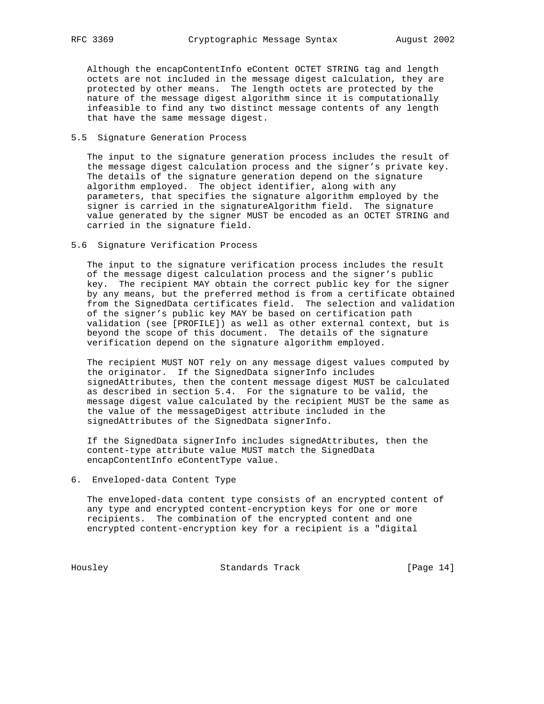Although the encapContentInfo eContent OCTET STRING tag and length octets are not included in the message digest calculation, they are protected by other means. The length octets are protected by the nature of the message digest algorithm since it is computationally infeasible to find any two distinct message contents of any length that have the same message digest.

#### 5.5 Signature Generation Process

 The input to the signature generation process includes the result of the message digest calculation process and the signer's private key. The details of the signature generation depend on the signature algorithm employed. The object identifier, along with any parameters, that specifies the signature algorithm employed by the signer is carried in the signatureAlgorithm field. The signature value generated by the signer MUST be encoded as an OCTET STRING and carried in the signature field.

# 5.6 Signature Verification Process

 The input to the signature verification process includes the result of the message digest calculation process and the signer's public key. The recipient MAY obtain the correct public key for the signer by any means, but the preferred method is from a certificate obtained from the SignedData certificates field. The selection and validation of the signer's public key MAY be based on certification path validation (see [PROFILE]) as well as other external context, but is beyond the scope of this document. The details of the signature verification depend on the signature algorithm employed.

 The recipient MUST NOT rely on any message digest values computed by the originator. If the SignedData signerInfo includes signedAttributes, then the content message digest MUST be calculated as described in section 5.4. For the signature to be valid, the message digest value calculated by the recipient MUST be the same as the value of the messageDigest attribute included in the signedAttributes of the SignedData signerInfo.

 If the SignedData signerInfo includes signedAttributes, then the content-type attribute value MUST match the SignedData encapContentInfo eContentType value.

6. Enveloped-data Content Type

 The enveloped-data content type consists of an encrypted content of any type and encrypted content-encryption keys for one or more recipients. The combination of the encrypted content and one encrypted content-encryption key for a recipient is a "digital

Housley Standards Track [Page 14]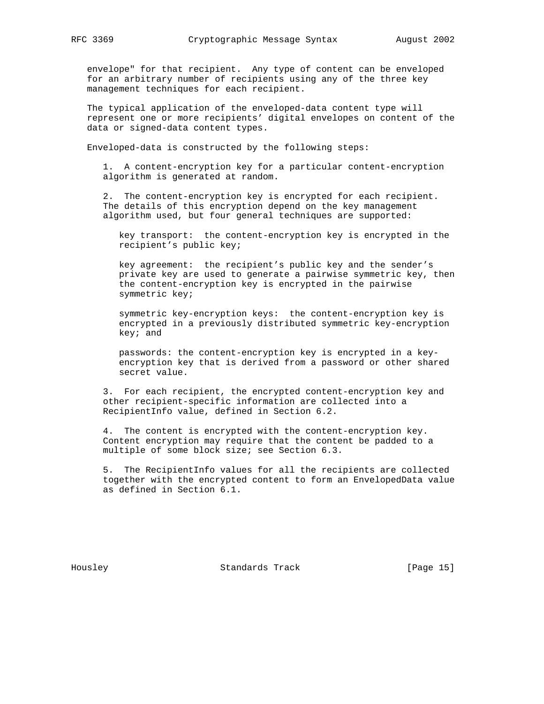envelope" for that recipient. Any type of content can be enveloped for an arbitrary number of recipients using any of the three key management techniques for each recipient.

 The typical application of the enveloped-data content type will represent one or more recipients' digital envelopes on content of the data or signed-data content types.

Enveloped-data is constructed by the following steps:

 1. A content-encryption key for a particular content-encryption algorithm is generated at random.

 2. The content-encryption key is encrypted for each recipient. The details of this encryption depend on the key management algorithm used, but four general techniques are supported:

 key transport: the content-encryption key is encrypted in the recipient's public key;

 key agreement: the recipient's public key and the sender's private key are used to generate a pairwise symmetric key, then the content-encryption key is encrypted in the pairwise symmetric key;

 symmetric key-encryption keys: the content-encryption key is encrypted in a previously distributed symmetric key-encryption key; and

 passwords: the content-encryption key is encrypted in a key encryption key that is derived from a password or other shared secret value.

 3. For each recipient, the encrypted content-encryption key and other recipient-specific information are collected into a RecipientInfo value, defined in Section 6.2.

 4. The content is encrypted with the content-encryption key. Content encryption may require that the content be padded to a multiple of some block size; see Section 6.3.

 5. The RecipientInfo values for all the recipients are collected together with the encrypted content to form an EnvelopedData value as defined in Section 6.1.

Housley Standards Track [Page 15]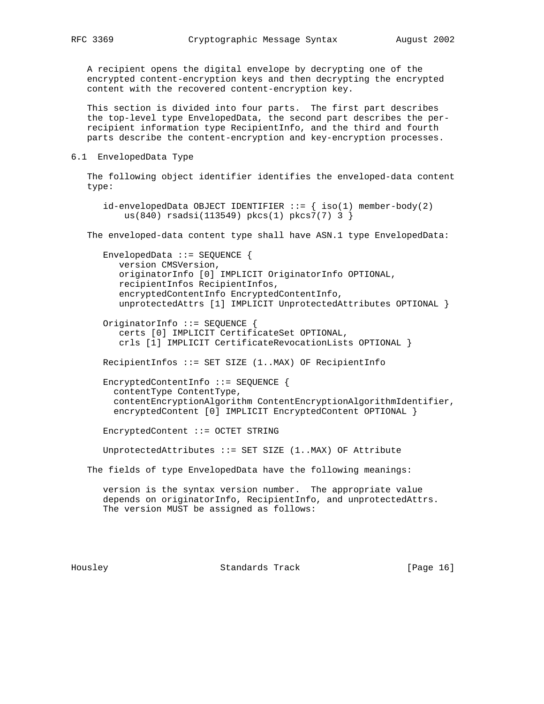A recipient opens the digital envelope by decrypting one of the encrypted content-encryption keys and then decrypting the encrypted

content with the recovered content-encryption key.

 This section is divided into four parts. The first part describes the top-level type EnvelopedData, the second part describes the per recipient information type RecipientInfo, and the third and fourth parts describe the content-encryption and key-encryption processes.

6.1 EnvelopedData Type

 The following object identifier identifies the enveloped-data content type:

 $id$ -envelopedData OBJECT IDENTIFIER  $::=$  {  $iso(1)$  member-body(2) us(840) rsadsi(113549) pkcs(1) pkcs7(7) 3 }

The enveloped-data content type shall have ASN.1 type EnvelopedData:

 EnvelopedData ::= SEQUENCE { version CMSVersion, originatorInfo [0] IMPLICIT OriginatorInfo OPTIONAL, recipientInfos RecipientInfos, encryptedContentInfo EncryptedContentInfo, unprotectedAttrs [1] IMPLICIT UnprotectedAttributes OPTIONAL }

 OriginatorInfo ::= SEQUENCE { certs [0] IMPLICIT CertificateSet OPTIONAL, crls [1] IMPLICIT CertificateRevocationLists OPTIONAL }

RecipientInfos ::= SET SIZE (1..MAX) OF RecipientInfo

 EncryptedContentInfo ::= SEQUENCE { contentType ContentType, contentEncryptionAlgorithm ContentEncryptionAlgorithmIdentifier, encryptedContent [0] IMPLICIT EncryptedContent OPTIONAL }

EncryptedContent ::= OCTET STRING

UnprotectedAttributes ::= SET SIZE (1..MAX) OF Attribute

The fields of type EnvelopedData have the following meanings:

 version is the syntax version number. The appropriate value depends on originatorInfo, RecipientInfo, and unprotectedAttrs. The version MUST be assigned as follows:

Housley Standards Track [Page 16]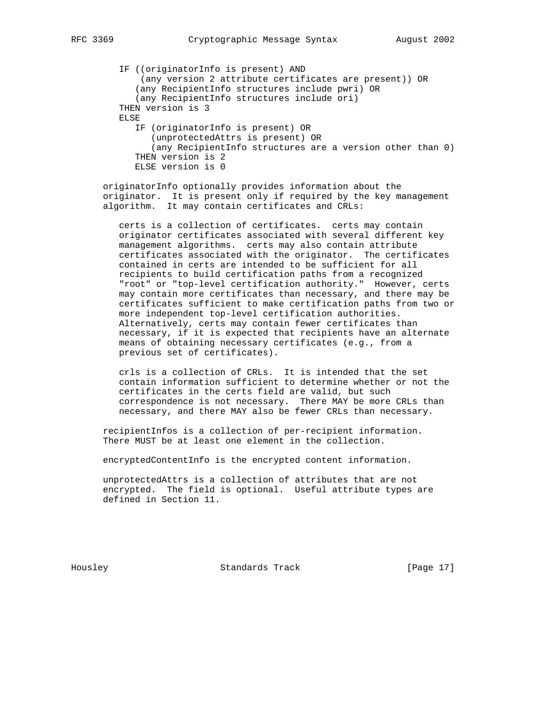```
 IF ((originatorInfo is present) AND
     (any version 2 attribute certificates are present)) OR
    (any RecipientInfo structures include pwri) OR
    (any RecipientInfo structures include ori)
 THEN version is 3
 ELSE
    IF (originatorInfo is present) OR
      (unprotectedAttrs is present) OR
       (any RecipientInfo structures are a version other than 0)
    THEN version is 2
    ELSE version is 0
```
 originatorInfo optionally provides information about the originator. It is present only if required by the key management algorithm. It may contain certificates and CRLs:

 certs is a collection of certificates. certs may contain originator certificates associated with several different key management algorithms. certs may also contain attribute certificates associated with the originator. The certificates contained in certs are intended to be sufficient for all recipients to build certification paths from a recognized "root" or "top-level certification authority." However, certs may contain more certificates than necessary, and there may be certificates sufficient to make certification paths from two or more independent top-level certification authorities. Alternatively, certs may contain fewer certificates than necessary, if it is expected that recipients have an alternate means of obtaining necessary certificates (e.g., from a previous set of certificates).

 crls is a collection of CRLs. It is intended that the set contain information sufficient to determine whether or not the certificates in the certs field are valid, but such correspondence is not necessary. There MAY be more CRLs than necessary, and there MAY also be fewer CRLs than necessary.

 recipientInfos is a collection of per-recipient information. There MUST be at least one element in the collection.

encryptedContentInfo is the encrypted content information.

 unprotectedAttrs is a collection of attributes that are not encrypted. The field is optional. Useful attribute types are defined in Section 11.

Housley Standards Track [Page 17]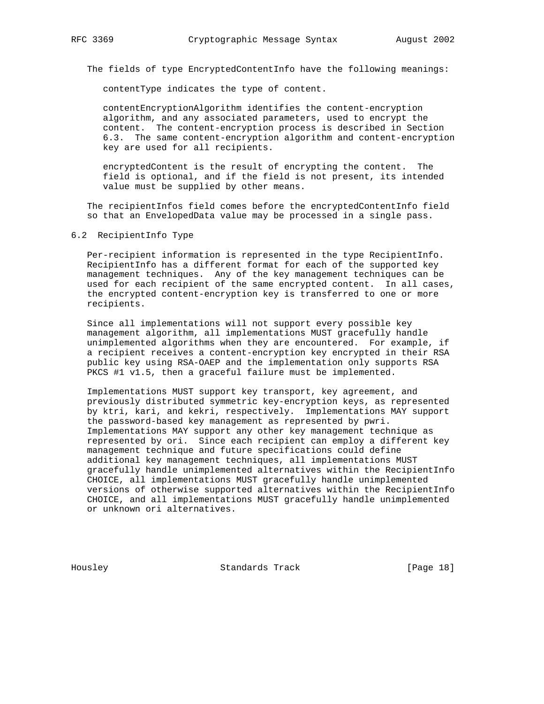The fields of type EncryptedContentInfo have the following meanings:

contentType indicates the type of content.

 contentEncryptionAlgorithm identifies the content-encryption algorithm, and any associated parameters, used to encrypt the content. The content-encryption process is described in Section 6.3. The same content-encryption algorithm and content-encryption key are used for all recipients.

 encryptedContent is the result of encrypting the content. The field is optional, and if the field is not present, its intended value must be supplied by other means.

 The recipientInfos field comes before the encryptedContentInfo field so that an EnvelopedData value may be processed in a single pass.

## 6.2 RecipientInfo Type

Per-recipient information is represented in the type RecipientInfo. RecipientInfo has a different format for each of the supported key management techniques. Any of the key management techniques can be used for each recipient of the same encrypted content. In all cases, the encrypted content-encryption key is transferred to one or more recipients.

 Since all implementations will not support every possible key management algorithm, all implementations MUST gracefully handle unimplemented algorithms when they are encountered. For example, if a recipient receives a content-encryption key encrypted in their RSA public key using RSA-OAEP and the implementation only supports RSA PKCS #1 v1.5, then a graceful failure must be implemented.

 Implementations MUST support key transport, key agreement, and previously distributed symmetric key-encryption keys, as represented by ktri, kari, and kekri, respectively. Implementations MAY support the password-based key management as represented by pwri. Implementations MAY support any other key management technique as represented by ori. Since each recipient can employ a different key management technique and future specifications could define additional key management techniques, all implementations MUST gracefully handle unimplemented alternatives within the RecipientInfo CHOICE, all implementations MUST gracefully handle unimplemented versions of otherwise supported alternatives within the RecipientInfo CHOICE, and all implementations MUST gracefully handle unimplemented or unknown ori alternatives.

Housley Standards Track [Page 18]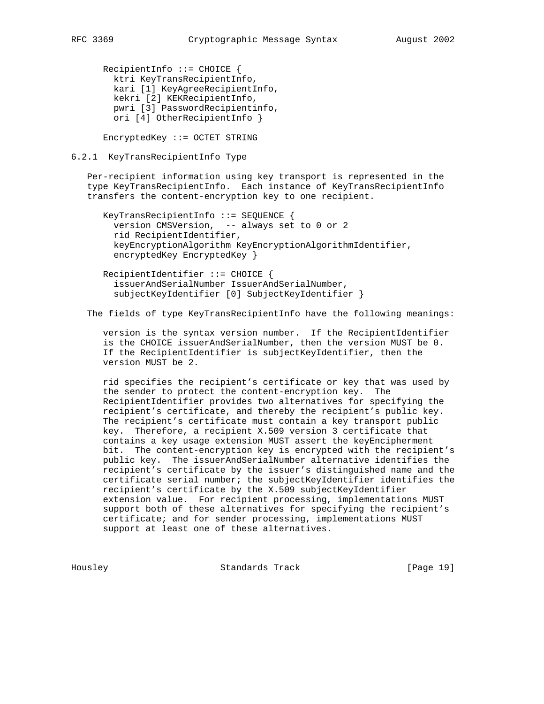RecipientInfo ::= CHOICE { ktri KeyTransRecipientInfo, kari [1] KeyAgreeRecipientInfo, kekri [2] KEKRecipientInfo, pwri [3] PasswordRecipientinfo, ori [4] OtherRecipientInfo }

EncryptedKey ::= OCTET STRING

# 6.2.1 KeyTransRecipientInfo Type

 Per-recipient information using key transport is represented in the type KeyTransRecipientInfo. Each instance of KeyTransRecipientInfo transfers the content-encryption key to one recipient.

```
 KeyTransRecipientInfo ::= SEQUENCE {
  version CMSVersion, -- always set to 0 or 2
  rid RecipientIdentifier,
  keyEncryptionAlgorithm KeyEncryptionAlgorithmIdentifier,
   encryptedKey EncryptedKey }
```
 RecipientIdentifier ::= CHOICE { issuerAndSerialNumber IssuerAndSerialNumber, subjectKeyIdentifier [0] SubjectKeyIdentifier }

The fields of type KeyTransRecipientInfo have the following meanings:

 version is the syntax version number. If the RecipientIdentifier is the CHOICE issuerAndSerialNumber, then the version MUST be 0. If the RecipientIdentifier is subjectKeyIdentifier, then the version MUST be 2.

 rid specifies the recipient's certificate or key that was used by the sender to protect the content-encryption key. The RecipientIdentifier provides two alternatives for specifying the recipient's certificate, and thereby the recipient's public key. The recipient's certificate must contain a key transport public key. Therefore, a recipient X.509 version 3 certificate that contains a key usage extension MUST assert the keyEncipherment bit. The content-encryption key is encrypted with the recipient's public key. The issuerAndSerialNumber alternative identifies the recipient's certificate by the issuer's distinguished name and the certificate serial number; the subjectKeyIdentifier identifies the recipient's certificate by the X.509 subjectKeyIdentifier extension value. For recipient processing, implementations MUST support both of these alternatives for specifying the recipient's certificate; and for sender processing, implementations MUST support at least one of these alternatives.

Housley Standards Track [Page 19]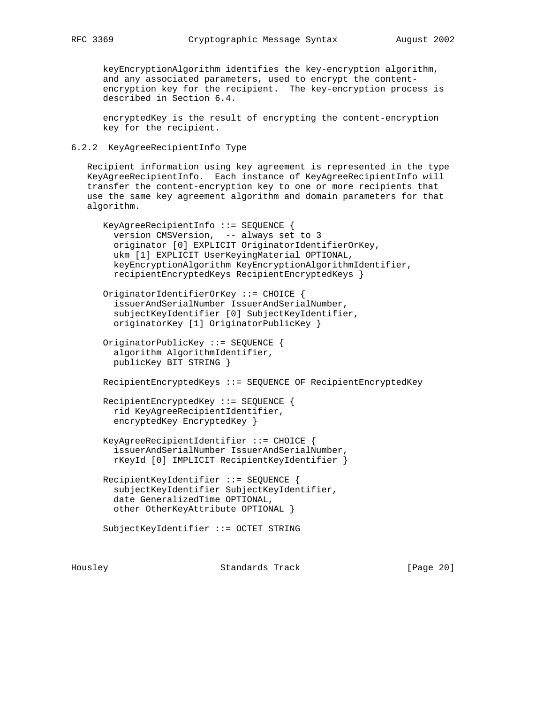keyEncryptionAlgorithm identifies the key-encryption algorithm, and any associated parameters, used to encrypt the content encryption key for the recipient. The key-encryption process is described in Section 6.4.

 encryptedKey is the result of encrypting the content-encryption key for the recipient.

# 6.2.2 KeyAgreeRecipientInfo Type

 Recipient information using key agreement is represented in the type KeyAgreeRecipientInfo. Each instance of KeyAgreeRecipientInfo will transfer the content-encryption key to one or more recipients that use the same key agreement algorithm and domain parameters for that algorithm.

```
 KeyAgreeRecipientInfo ::= SEQUENCE {
   version CMSVersion, -- always set to 3
   originator [0] EXPLICIT OriginatorIdentifierOrKey,
   ukm [1] EXPLICIT UserKeyingMaterial OPTIONAL,
   keyEncryptionAlgorithm KeyEncryptionAlgorithmIdentifier,
   recipientEncryptedKeys RecipientEncryptedKeys }
 OriginatorIdentifierOrKey ::= CHOICE {
   issuerAndSerialNumber IssuerAndSerialNumber,
   subjectKeyIdentifier [0] SubjectKeyIdentifier,
   originatorKey [1] OriginatorPublicKey }
 OriginatorPublicKey ::= SEQUENCE {
   algorithm AlgorithmIdentifier,
  publicKey BIT STRING }
 RecipientEncryptedKeys ::= SEQUENCE OF RecipientEncryptedKey
 RecipientEncryptedKey ::= SEQUENCE {
  rid KeyAgreeRecipientIdentifier,
   encryptedKey EncryptedKey }
 KeyAgreeRecipientIdentifier ::= CHOICE {
   issuerAndSerialNumber IssuerAndSerialNumber,
   rKeyId [0] IMPLICIT RecipientKeyIdentifier }
 RecipientKeyIdentifier ::= SEQUENCE {
   subjectKeyIdentifier SubjectKeyIdentifier,
   date GeneralizedTime OPTIONAL,
  other OtherKeyAttribute OPTIONAL }
 SubjectKeyIdentifier ::= OCTET STRING
```
Housley Standards Track [Page 20]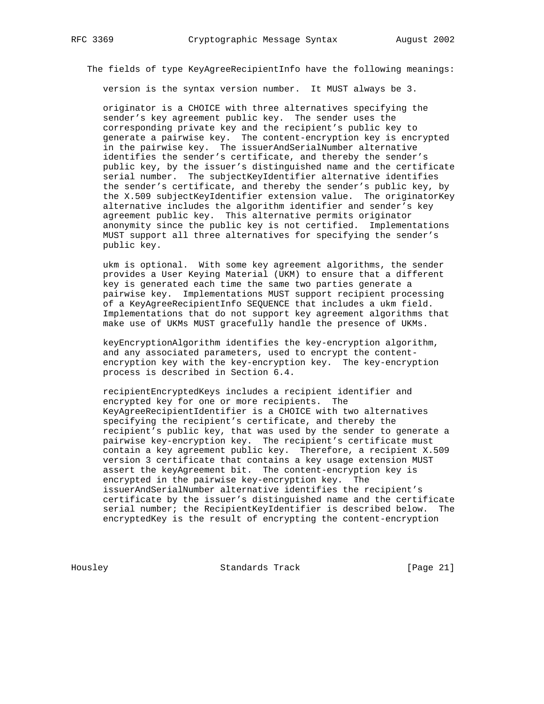The fields of type KeyAgreeRecipientInfo have the following meanings:

version is the syntax version number. It MUST always be 3.

 originator is a CHOICE with three alternatives specifying the sender's key agreement public key. The sender uses the corresponding private key and the recipient's public key to generate a pairwise key. The content-encryption key is encrypted in the pairwise key. The issuerAndSerialNumber alternative identifies the sender's certificate, and thereby the sender's public key, by the issuer's distinguished name and the certificate serial number. The subjectKeyIdentifier alternative identifies the sender's certificate, and thereby the sender's public key, by the X.509 subjectKeyIdentifier extension value. The originatorKey alternative includes the algorithm identifier and sender's key agreement public key. This alternative permits originator anonymity since the public key is not certified. Implementations MUST support all three alternatives for specifying the sender's public key.

 ukm is optional. With some key agreement algorithms, the sender provides a User Keying Material (UKM) to ensure that a different key is generated each time the same two parties generate a pairwise key. Implementations MUST support recipient processing of a KeyAgreeRecipientInfo SEQUENCE that includes a ukm field. Implementations that do not support key agreement algorithms that make use of UKMs MUST gracefully handle the presence of UKMs.

 keyEncryptionAlgorithm identifies the key-encryption algorithm, and any associated parameters, used to encrypt the content encryption key with the key-encryption key. The key-encryption process is described in Section 6.4.

 recipientEncryptedKeys includes a recipient identifier and encrypted key for one or more recipients. The KeyAgreeRecipientIdentifier is a CHOICE with two alternatives specifying the recipient's certificate, and thereby the recipient's public key, that was used by the sender to generate a pairwise key-encryption key. The recipient's certificate must contain a key agreement public key. Therefore, a recipient X.509 version 3 certificate that contains a key usage extension MUST assert the keyAgreement bit. The content-encryption key is encrypted in the pairwise key-encryption key. The issuerAndSerialNumber alternative identifies the recipient's certificate by the issuer's distinguished name and the certificate serial number; the RecipientKeyIdentifier is described below. The encryptedKey is the result of encrypting the content-encryption

Housley Standards Track [Page 21]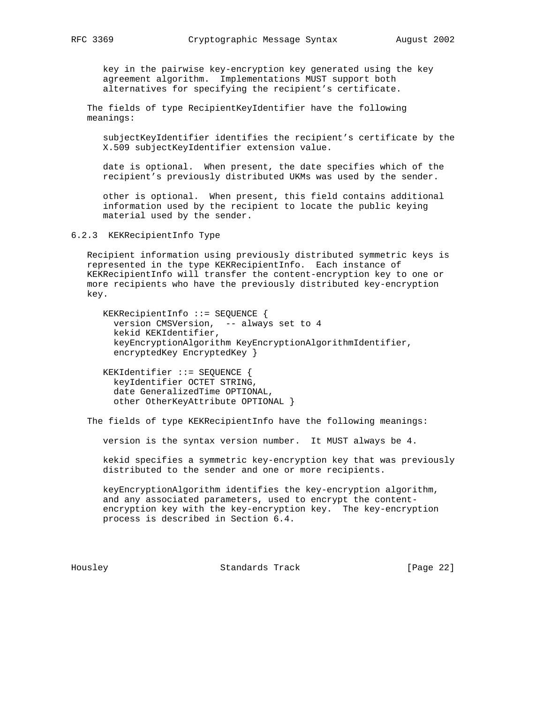key in the pairwise key-encryption key generated using the key agreement algorithm. Implementations MUST support both alternatives for specifying the recipient's certificate.

 The fields of type RecipientKeyIdentifier have the following meanings:

 subjectKeyIdentifier identifies the recipient's certificate by the X.509 subjectKeyIdentifier extension value.

 date is optional. When present, the date specifies which of the recipient's previously distributed UKMs was used by the sender.

 other is optional. When present, this field contains additional information used by the recipient to locate the public keying material used by the sender.

6.2.3 KEKRecipientInfo Type

 Recipient information using previously distributed symmetric keys is represented in the type KEKRecipientInfo. Each instance of KEKRecipientInfo will transfer the content-encryption key to one or more recipients who have the previously distributed key-encryption key.

 KEKRecipientInfo ::= SEQUENCE { version CMSVersion, -- always set to 4 kekid KEKIdentifier, keyEncryptionAlgorithm KeyEncryptionAlgorithmIdentifier, encryptedKey EncryptedKey }

 KEKIdentifier ::= SEQUENCE { keyIdentifier OCTET STRING, date GeneralizedTime OPTIONAL, other OtherKeyAttribute OPTIONAL }

The fields of type KEKRecipientInfo have the following meanings:

version is the syntax version number. It MUST always be 4.

 kekid specifies a symmetric key-encryption key that was previously distributed to the sender and one or more recipients.

 keyEncryptionAlgorithm identifies the key-encryption algorithm, and any associated parameters, used to encrypt the content encryption key with the key-encryption key. The key-encryption process is described in Section 6.4.

Housley Standards Track [Page 22]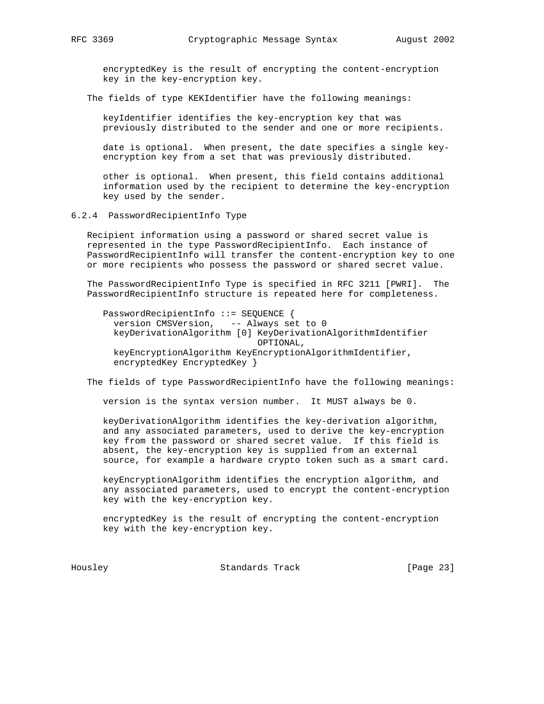encryptedKey is the result of encrypting the content-encryption key in the key-encryption key.

The fields of type KEKIdentifier have the following meanings:

 keyIdentifier identifies the key-encryption key that was previously distributed to the sender and one or more recipients.

 date is optional. When present, the date specifies a single key encryption key from a set that was previously distributed.

 other is optional. When present, this field contains additional information used by the recipient to determine the key-encryption key used by the sender.

6.2.4 PasswordRecipientInfo Type

 Recipient information using a password or shared secret value is represented in the type PasswordRecipientInfo. Each instance of PasswordRecipientInfo will transfer the content-encryption key to one or more recipients who possess the password or shared secret value.

 The PasswordRecipientInfo Type is specified in RFC 3211 [PWRI]. The PasswordRecipientInfo structure is repeated here for completeness.

 PasswordRecipientInfo ::= SEQUENCE { version CMSVersion, -- Always set to 0 keyDerivationAlgorithm [0] KeyDerivationAlgorithmIdentifier OPTIONAL, keyEncryptionAlgorithm KeyEncryptionAlgorithmIdentifier, encryptedKey EncryptedKey }

The fields of type PasswordRecipientInfo have the following meanings:

version is the syntax version number. It MUST always be 0.

 keyDerivationAlgorithm identifies the key-derivation algorithm, and any associated parameters, used to derive the key-encryption key from the password or shared secret value. If this field is absent, the key-encryption key is supplied from an external source, for example a hardware crypto token such as a smart card.

 keyEncryptionAlgorithm identifies the encryption algorithm, and any associated parameters, used to encrypt the content-encryption key with the key-encryption key.

 encryptedKey is the result of encrypting the content-encryption key with the key-encryption key.

Housley Standards Track [Page 23]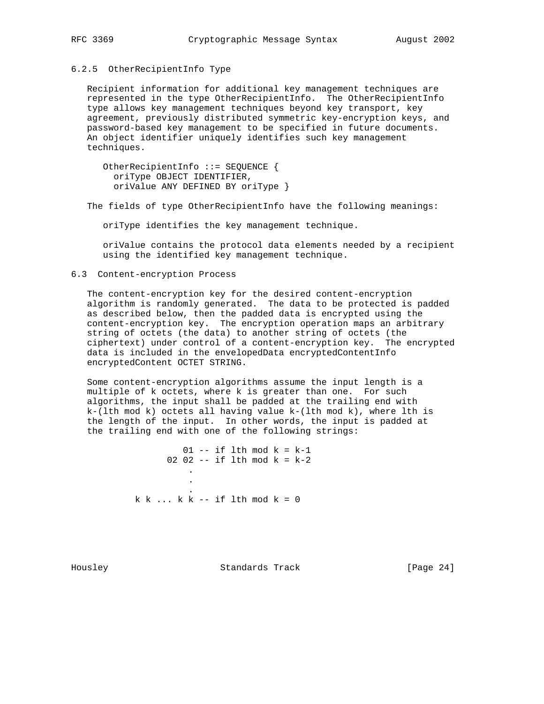#### 6.2.5 OtherRecipientInfo Type

 Recipient information for additional key management techniques are represented in the type OtherRecipientInfo. The OtherRecipientInfo type allows key management techniques beyond key transport, key agreement, previously distributed symmetric key-encryption keys, and password-based key management to be specified in future documents. An object identifier uniquely identifies such key management techniques.

 OtherRecipientInfo ::= SEQUENCE { oriType OBJECT IDENTIFIER, oriValue ANY DEFINED BY oriType }

The fields of type OtherRecipientInfo have the following meanings:

oriType identifies the key management technique.

 oriValue contains the protocol data elements needed by a recipient using the identified key management technique.

# 6.3 Content-encryption Process

 The content-encryption key for the desired content-encryption algorithm is randomly generated. The data to be protected is padded as described below, then the padded data is encrypted using the content-encryption key. The encryption operation maps an arbitrary string of octets (the data) to another string of octets (the ciphertext) under control of a content-encryption key. The encrypted data is included in the envelopedData encryptedContentInfo encryptedContent OCTET STRING.

 Some content-encryption algorithms assume the input length is a multiple of k octets, where k is greater than one. For such algorithms, the input shall be padded at the trailing end with  $k-(lth mod k)$  octets all having value  $k-(lth mod k)$ , where lth is the length of the input. In other words, the input is padded at the trailing end with one of the following strings:

 $01$  -- if lth mod  $k = k-1$ 02 02 -- if lth mod  $k = k-2$  . . .  $k$  k ...  $k$  k -- if lth mod  $k = 0$ 

Housley Standards Track [Page 24]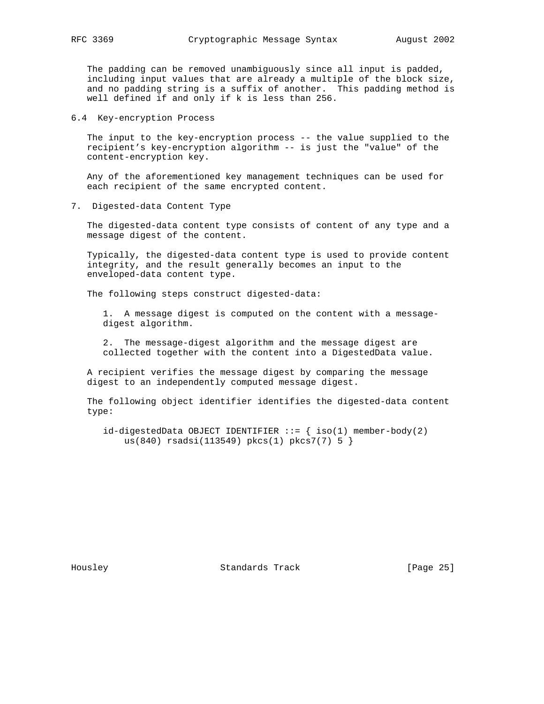The padding can be removed unambiguously since all input is padded, including input values that are already a multiple of the block size, and no padding string is a suffix of another. This padding method is well defined if and only if k is less than 256.

6.4 Key-encryption Process

 The input to the key-encryption process -- the value supplied to the recipient's key-encryption algorithm -- is just the "value" of the content-encryption key.

 Any of the aforementioned key management techniques can be used for each recipient of the same encrypted content.

7. Digested-data Content Type

 The digested-data content type consists of content of any type and a message digest of the content.

 Typically, the digested-data content type is used to provide content integrity, and the result generally becomes an input to the enveloped-data content type.

The following steps construct digested-data:

 1. A message digest is computed on the content with a message digest algorithm.

 2. The message-digest algorithm and the message digest are collected together with the content into a DigestedData value.

 A recipient verifies the message digest by comparing the message digest to an independently computed message digest.

 The following object identifier identifies the digested-data content type:

 $id$ -digestedData OBJECT IDENTIFIER ::=  $\{ iso(1)$  member-body(2) us(840) rsadsi(113549) pkcs(1) pkcs7(7) 5 }

Housley Standards Track [Page 25]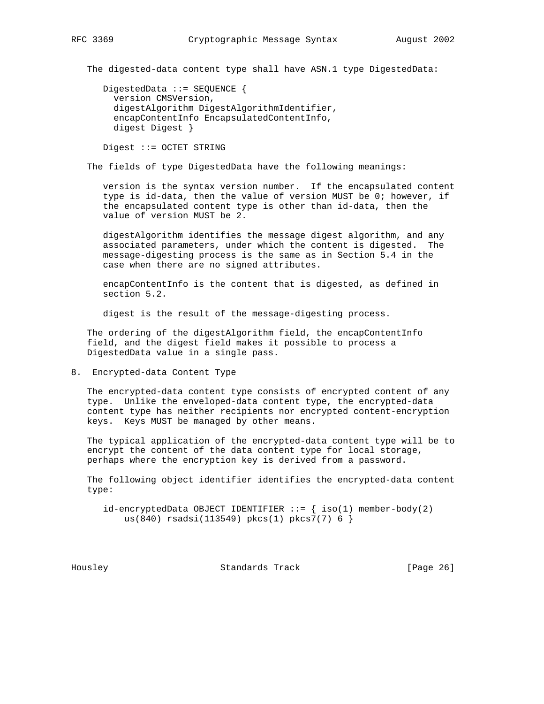The digested-data content type shall have ASN.1 type DigestedData:

 DigestedData ::= SEQUENCE { version CMSVersion, digestAlgorithm DigestAlgorithmIdentifier, encapContentInfo EncapsulatedContentInfo, digest Digest }

Digest ::= OCTET STRING

The fields of type DigestedData have the following meanings:

 version is the syntax version number. If the encapsulated content type is id-data, then the value of version MUST be 0; however, if the encapsulated content type is other than id-data, then the value of version MUST be 2.

 digestAlgorithm identifies the message digest algorithm, and any associated parameters, under which the content is digested. The message-digesting process is the same as in Section 5.4 in the case when there are no signed attributes.

 encapContentInfo is the content that is digested, as defined in section 5.2.

digest is the result of the message-digesting process.

 The ordering of the digestAlgorithm field, the encapContentInfo field, and the digest field makes it possible to process a DigestedData value in a single pass.

8. Encrypted-data Content Type

 The encrypted-data content type consists of encrypted content of any type. Unlike the enveloped-data content type, the encrypted-data content type has neither recipients nor encrypted content-encryption keys. Keys MUST be managed by other means.

 The typical application of the encrypted-data content type will be to encrypt the content of the data content type for local storage, perhaps where the encryption key is derived from a password.

 The following object identifier identifies the encrypted-data content type:

 $id$ -encryptedData OBJECT IDENTIFIER ::=  $\{ iso(1)$  member-body(2) us(840) rsadsi(113549) pkcs(1) pkcs7(7) 6 }

Housley Standards Track [Page 26]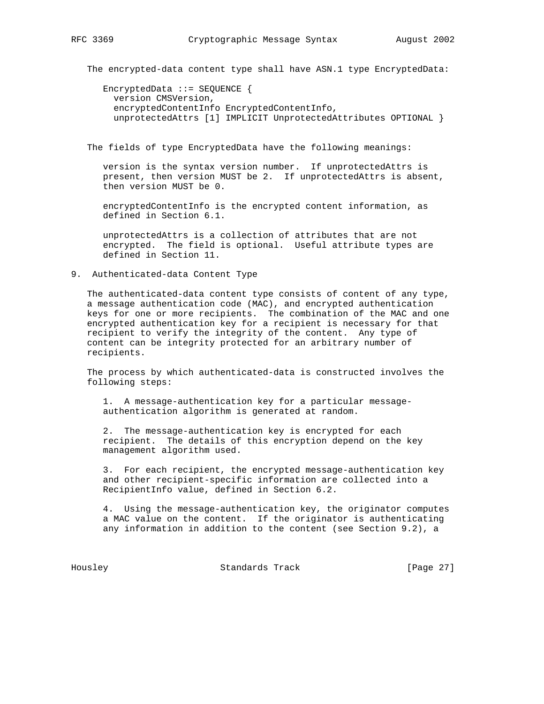The encrypted-data content type shall have ASN.1 type EncryptedData:

 EncryptedData ::= SEQUENCE { version CMSVersion, encryptedContentInfo EncryptedContentInfo, unprotectedAttrs [1] IMPLICIT UnprotectedAttributes OPTIONAL }

The fields of type EncryptedData have the following meanings:

 version is the syntax version number. If unprotectedAttrs is present, then version MUST be 2. If unprotectedAttrs is absent, then version MUST be 0.

 encryptedContentInfo is the encrypted content information, as defined in Section 6.1.

 unprotectedAttrs is a collection of attributes that are not encrypted. The field is optional. Useful attribute types are defined in Section 11.

# 9. Authenticated-data Content Type

 The authenticated-data content type consists of content of any type, a message authentication code (MAC), and encrypted authentication keys for one or more recipients. The combination of the MAC and one encrypted authentication key for a recipient is necessary for that recipient to verify the integrity of the content. Any type of content can be integrity protected for an arbitrary number of recipients.

 The process by which authenticated-data is constructed involves the following steps:

 1. A message-authentication key for a particular message authentication algorithm is generated at random.

 2. The message-authentication key is encrypted for each recipient. The details of this encryption depend on the key management algorithm used.

 3. For each recipient, the encrypted message-authentication key and other recipient-specific information are collected into a RecipientInfo value, defined in Section 6.2.

 4. Using the message-authentication key, the originator computes a MAC value on the content. If the originator is authenticating any information in addition to the content (see Section 9.2), a

Housley Standards Track [Page 27]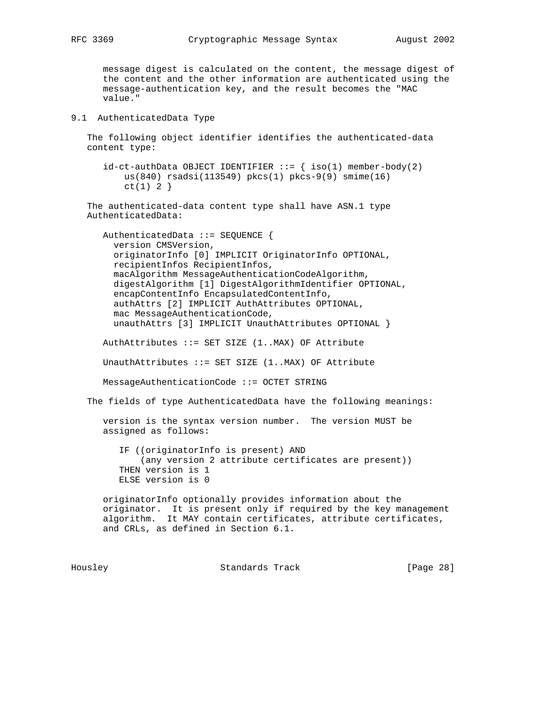message digest is calculated on the content, the message digest of the content and the other information are authenticated using the message-authentication key, and the result becomes the "MAC value."

# 9.1 AuthenticatedData Type

 The following object identifier identifies the authenticated-data content type:

 $id-ct-authData OBJECT IDENTIFFIER ::= { iso(1) member-body(2) }$  us(840) rsadsi(113549) pkcs(1) pkcs-9(9) smime(16)  $ct(1) 2$ }

 The authenticated-data content type shall have ASN.1 type AuthenticatedData:

 AuthenticatedData ::= SEQUENCE { version CMSVersion, originatorInfo [0] IMPLICIT OriginatorInfo OPTIONAL, recipientInfos RecipientInfos, macAlgorithm MessageAuthenticationCodeAlgorithm, digestAlgorithm [1] DigestAlgorithmIdentifier OPTIONAL, encapContentInfo EncapsulatedContentInfo, authAttrs [2] IMPLICIT AuthAttributes OPTIONAL, mac MessageAuthenticationCode, unauthAttrs [3] IMPLICIT UnauthAttributes OPTIONAL }

AuthAttributes ::= SET SIZE (1..MAX) OF Attribute

UnauthAttributes ::= SET SIZE (1..MAX) OF Attribute

MessageAuthenticationCode ::= OCTET STRING

The fields of type AuthenticatedData have the following meanings:

 version is the syntax version number. The version MUST be assigned as follows:

 IF ((originatorInfo is present) AND (any version 2 attribute certificates are present)) THEN version is 1 ELSE version is 0

 originatorInfo optionally provides information about the originator. It is present only if required by the key management algorithm. It MAY contain certificates, attribute certificates, and CRLs, as defined in Section 6.1.

Housley Standards Track [Page 28]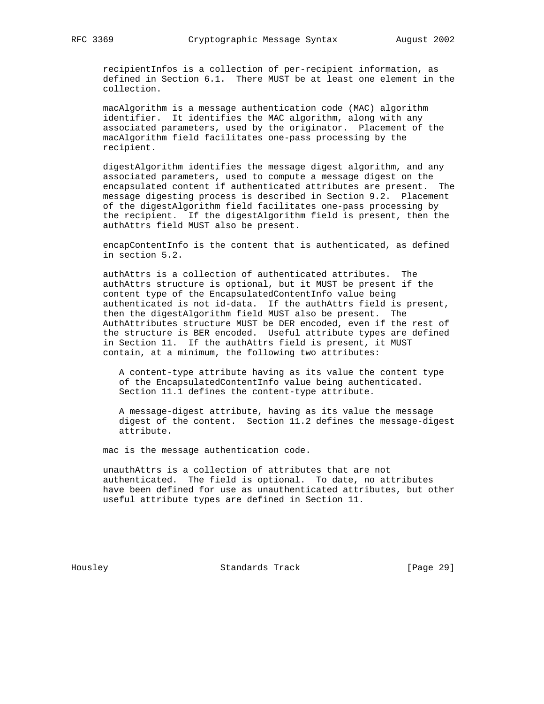recipientInfos is a collection of per-recipient information, as defined in Section 6.1. There MUST be at least one element in the collection.

 macAlgorithm is a message authentication code (MAC) algorithm identifier. It identifies the MAC algorithm, along with any associated parameters, used by the originator. Placement of the macAlgorithm field facilitates one-pass processing by the recipient.

 digestAlgorithm identifies the message digest algorithm, and any associated parameters, used to compute a message digest on the encapsulated content if authenticated attributes are present. The message digesting process is described in Section 9.2. Placement of the digestAlgorithm field facilitates one-pass processing by the recipient. If the digestAlgorithm field is present, then the authAttrs field MUST also be present.

 encapContentInfo is the content that is authenticated, as defined in section 5.2.

 authAttrs is a collection of authenticated attributes. The authAttrs structure is optional, but it MUST be present if the content type of the EncapsulatedContentInfo value being authenticated is not id-data. If the authAttrs field is present, then the digestAlgorithm field MUST also be present. The AuthAttributes structure MUST be DER encoded, even if the rest of the structure is BER encoded. Useful attribute types are defined in Section 11. If the authAttrs field is present, it MUST contain, at a minimum, the following two attributes:

 A content-type attribute having as its value the content type of the EncapsulatedContentInfo value being authenticated. Section 11.1 defines the content-type attribute.

 A message-digest attribute, having as its value the message digest of the content. Section 11.2 defines the message-digest attribute.

mac is the message authentication code.

 unauthAttrs is a collection of attributes that are not authenticated. The field is optional. To date, no attributes have been defined for use as unauthenticated attributes, but other useful attribute types are defined in Section 11.

Housley Standards Track [Page 29]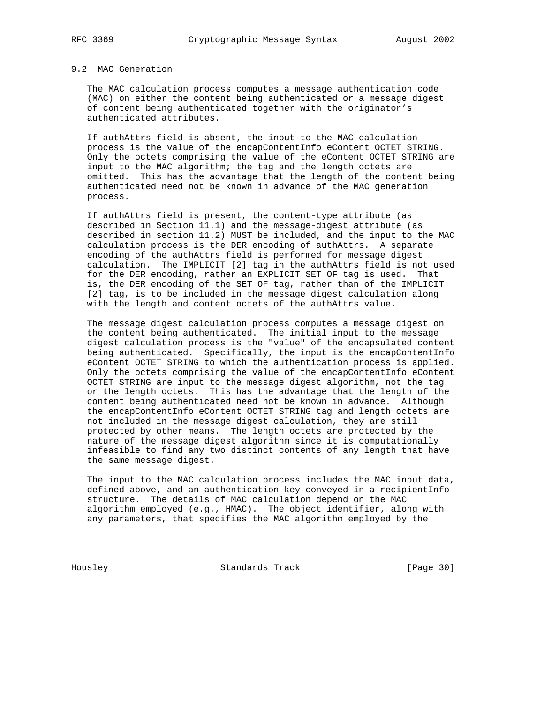# 9.2 MAC Generation

 The MAC calculation process computes a message authentication code (MAC) on either the content being authenticated or a message digest of content being authenticated together with the originator's authenticated attributes.

 If authAttrs field is absent, the input to the MAC calculation process is the value of the encapContentInfo eContent OCTET STRING. Only the octets comprising the value of the eContent OCTET STRING are input to the MAC algorithm; the tag and the length octets are omitted. This has the advantage that the length of the content being authenticated need not be known in advance of the MAC generation process.

 If authAttrs field is present, the content-type attribute (as described in Section 11.1) and the message-digest attribute (as described in section 11.2) MUST be included, and the input to the MAC calculation process is the DER encoding of authAttrs. A separate encoding of the authAttrs field is performed for message digest calculation. The IMPLICIT [2] tag in the authAttrs field is not used for the DER encoding, rather an EXPLICIT SET OF tag is used. That is, the DER encoding of the SET OF tag, rather than of the IMPLICIT [2] tag, is to be included in the message digest calculation along with the length and content octets of the authAttrs value.

 The message digest calculation process computes a message digest on the content being authenticated. The initial input to the message digest calculation process is the "value" of the encapsulated content being authenticated. Specifically, the input is the encapContentInfo eContent OCTET STRING to which the authentication process is applied. Only the octets comprising the value of the encapContentInfo eContent OCTET STRING are input to the message digest algorithm, not the tag or the length octets. This has the advantage that the length of the content being authenticated need not be known in advance. Although the encapContentInfo eContent OCTET STRING tag and length octets are not included in the message digest calculation, they are still protected by other means. The length octets are protected by the nature of the message digest algorithm since it is computationally infeasible to find any two distinct contents of any length that have the same message digest.

 The input to the MAC calculation process includes the MAC input data, defined above, and an authentication key conveyed in a recipientInfo structure. The details of MAC calculation depend on the MAC algorithm employed (e.g., HMAC). The object identifier, along with any parameters, that specifies the MAC algorithm employed by the

Housley Standards Track [Page 30]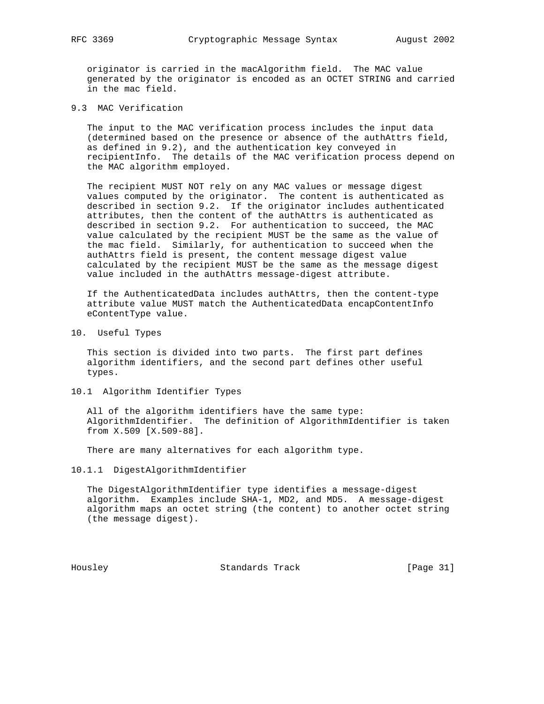originator is carried in the macAlgorithm field. The MAC value generated by the originator is encoded as an OCTET STRING and carried in the mac field.

9.3 MAC Verification

 The input to the MAC verification process includes the input data (determined based on the presence or absence of the authAttrs field, as defined in 9.2), and the authentication key conveyed in recipientInfo. The details of the MAC verification process depend on the MAC algorithm employed.

 The recipient MUST NOT rely on any MAC values or message digest values computed by the originator. The content is authenticated as described in section 9.2. If the originator includes authenticated attributes, then the content of the authAttrs is authenticated as described in section 9.2. For authentication to succeed, the MAC value calculated by the recipient MUST be the same as the value of the mac field. Similarly, for authentication to succeed when the authAttrs field is present, the content message digest value calculated by the recipient MUST be the same as the message digest value included in the authAttrs message-digest attribute.

 If the AuthenticatedData includes authAttrs, then the content-type attribute value MUST match the AuthenticatedData encapContentInfo eContentType value.

10. Useful Types

 This section is divided into two parts. The first part defines algorithm identifiers, and the second part defines other useful types.

10.1 Algorithm Identifier Types

 All of the algorithm identifiers have the same type: AlgorithmIdentifier. The definition of AlgorithmIdentifier is taken from X.509 [X.509-88].

There are many alternatives for each algorithm type.

10.1.1 DigestAlgorithmIdentifier

 The DigestAlgorithmIdentifier type identifies a message-digest algorithm. Examples include SHA-1, MD2, and MD5. A message-digest algorithm maps an octet string (the content) to another octet string (the message digest).

Housley Standards Track [Page 31]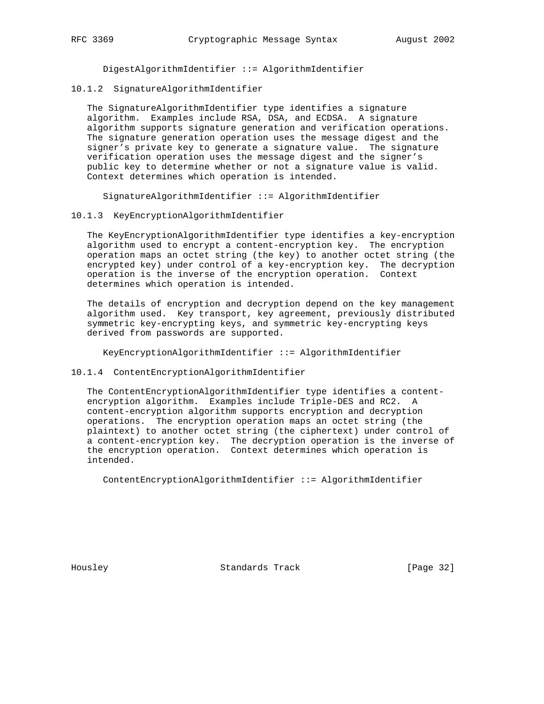DigestAlgorithmIdentifier ::= AlgorithmIdentifier

10.1.2 SignatureAlgorithmIdentifier

 The SignatureAlgorithmIdentifier type identifies a signature algorithm. Examples include RSA, DSA, and ECDSA. A signature algorithm supports signature generation and verification operations. The signature generation operation uses the message digest and the signer's private key to generate a signature value. The signature verification operation uses the message digest and the signer's public key to determine whether or not a signature value is valid. Context determines which operation is intended.

SignatureAlgorithmIdentifier ::= AlgorithmIdentifier

## 10.1.3 KeyEncryptionAlgorithmIdentifier

 The KeyEncryptionAlgorithmIdentifier type identifies a key-encryption algorithm used to encrypt a content-encryption key. The encryption operation maps an octet string (the key) to another octet string (the encrypted key) under control of a key-encryption key. The decryption operation is the inverse of the encryption operation. Context determines which operation is intended.

 The details of encryption and decryption depend on the key management algorithm used. Key transport, key agreement, previously distributed symmetric key-encrypting keys, and symmetric key-encrypting keys derived from passwords are supported.

KeyEncryptionAlgorithmIdentifier ::= AlgorithmIdentifier

### 10.1.4 ContentEncryptionAlgorithmIdentifier

 The ContentEncryptionAlgorithmIdentifier type identifies a content encryption algorithm. Examples include Triple-DES and RC2. A content-encryption algorithm supports encryption and decryption operations. The encryption operation maps an octet string (the plaintext) to another octet string (the ciphertext) under control of a content-encryption key. The decryption operation is the inverse of the encryption operation. Context determines which operation is intended.

ContentEncryptionAlgorithmIdentifier ::= AlgorithmIdentifier

Housley Standards Track [Page 32]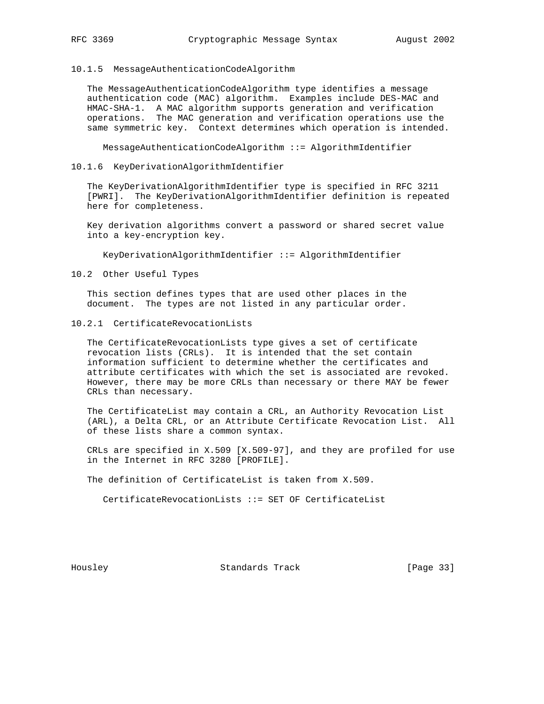## 10.1.5 MessageAuthenticationCodeAlgorithm

 The MessageAuthenticationCodeAlgorithm type identifies a message authentication code (MAC) algorithm. Examples include DES-MAC and HMAC-SHA-1. A MAC algorithm supports generation and verification operations. The MAC generation and verification operations use the same symmetric key. Context determines which operation is intended.

MessageAuthenticationCodeAlgorithm ::= AlgorithmIdentifier

#### 10.1.6 KeyDerivationAlgorithmIdentifier

 The KeyDerivationAlgorithmIdentifier type is specified in RFC 3211 [PWRI]. The KeyDerivationAlgorithmIdentifier definition is repeated here for completeness.

 Key derivation algorithms convert a password or shared secret value into a key-encryption key.

KeyDerivationAlgorithmIdentifier ::= AlgorithmIdentifier

# 10.2 Other Useful Types

 This section defines types that are used other places in the document. The types are not listed in any particular order.

# 10.2.1 CertificateRevocationLists

 The CertificateRevocationLists type gives a set of certificate revocation lists (CRLs). It is intended that the set contain information sufficient to determine whether the certificates and attribute certificates with which the set is associated are revoked. However, there may be more CRLs than necessary or there MAY be fewer CRLs than necessary.

 The CertificateList may contain a CRL, an Authority Revocation List (ARL), a Delta CRL, or an Attribute Certificate Revocation List. All of these lists share a common syntax.

 CRLs are specified in X.509 [X.509-97], and they are profiled for use in the Internet in RFC 3280 [PROFILE].

The definition of CertificateList is taken from X.509.

CertificateRevocationLists ::= SET OF CertificateList

Housley Standards Track [Page 33]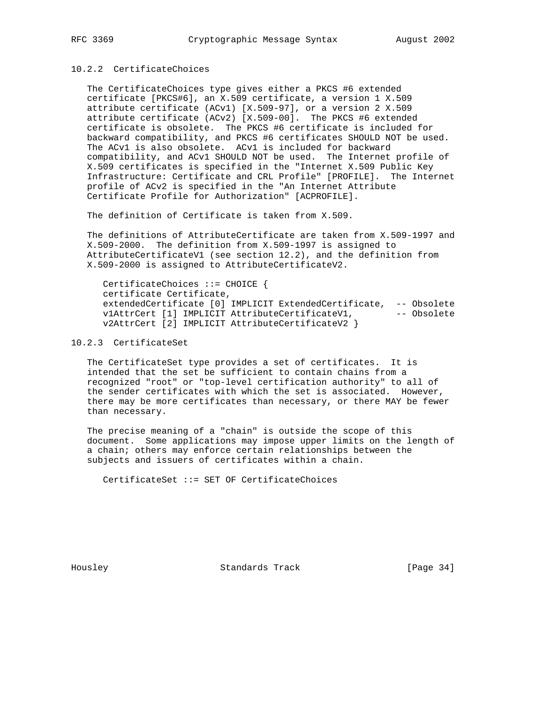# 10.2.2 CertificateChoices

 The CertificateChoices type gives either a PKCS #6 extended certificate [PKCS#6], an X.509 certificate, a version 1 X.509 attribute certificate (ACv1) [X.509-97], or a version 2 X.509 attribute certificate (ACv2) [X.509-00]. The PKCS #6 extended certificate is obsolete. The PKCS #6 certificate is included for backward compatibility, and PKCS #6 certificates SHOULD NOT be used. The ACv1 is also obsolete. ACv1 is included for backward compatibility, and ACv1 SHOULD NOT be used. The Internet profile of X.509 certificates is specified in the "Internet X.509 Public Key Infrastructure: Certificate and CRL Profile" [PROFILE]. The Internet profile of ACv2 is specified in the "An Internet Attribute Certificate Profile for Authorization" [ACPROFILE].

The definition of Certificate is taken from X.509.

 The definitions of AttributeCertificate are taken from X.509-1997 and X.509-2000. The definition from X.509-1997 is assigned to AttributeCertificateV1 (see section 12.2), and the definition from X.509-2000 is assigned to AttributeCertificateV2.

 CertificateChoices ::= CHOICE { certificate Certificate, extendedCertificate [0] IMPLICIT ExtendedCertificate, -- Obsolete v1AttrCert [1] IMPLICIT AttributeCertificateV1, -- Obsolete<br>"21ttrCert [2] IMPLICIT AttributeCertificateV2 } v2AttrCert [2] IMPLICIT AttributeCertificateV2 }

# 10.2.3 CertificateSet

 The CertificateSet type provides a set of certificates. It is intended that the set be sufficient to contain chains from a recognized "root" or "top-level certification authority" to all of the sender certificates with which the set is associated. However, there may be more certificates than necessary, or there MAY be fewer than necessary.

 The precise meaning of a "chain" is outside the scope of this document. Some applications may impose upper limits on the length of a chain; others may enforce certain relationships between the subjects and issuers of certificates within a chain.

CertificateSet ::= SET OF CertificateChoices

Housley Standards Track [Page 34]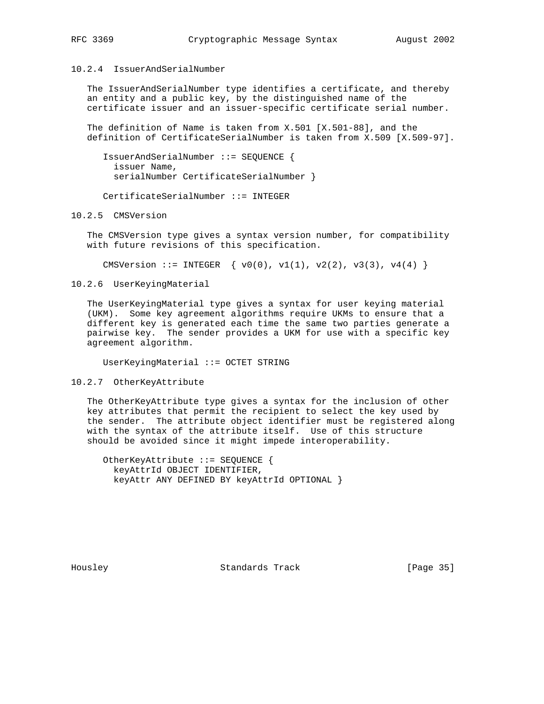10.2.4 IssuerAndSerialNumber

 The IssuerAndSerialNumber type identifies a certificate, and thereby an entity and a public key, by the distinguished name of the certificate issuer and an issuer-specific certificate serial number.

 The definition of Name is taken from X.501 [X.501-88], and the definition of CertificateSerialNumber is taken from X.509 [X.509-97].

 IssuerAndSerialNumber ::= SEQUENCE { issuer Name, serialNumber CertificateSerialNumber }

CertificateSerialNumber ::= INTEGER

10.2.5 CMSVersion

 The CMSVersion type gives a syntax version number, for compatibility with future revisions of this specification.

CMSVersion ::= INTEGER  $\{ v0(0), v1(1), v2(2), v3(3), v4(4) \}$ 

10.2.6 UserKeyingMaterial

 The UserKeyingMaterial type gives a syntax for user keying material (UKM). Some key agreement algorithms require UKMs to ensure that a different key is generated each time the same two parties generate a pairwise key. The sender provides a UKM for use with a specific key agreement algorithm.

UserKeyingMaterial ::= OCTET STRING

10.2.7 OtherKeyAttribute

 The OtherKeyAttribute type gives a syntax for the inclusion of other key attributes that permit the recipient to select the key used by the sender. The attribute object identifier must be registered along with the syntax of the attribute itself. Use of this structure should be avoided since it might impede interoperability.

 OtherKeyAttribute ::= SEQUENCE { keyAttrId OBJECT IDENTIFIER, keyAttr ANY DEFINED BY keyAttrId OPTIONAL }

Housley Standards Track [Page 35]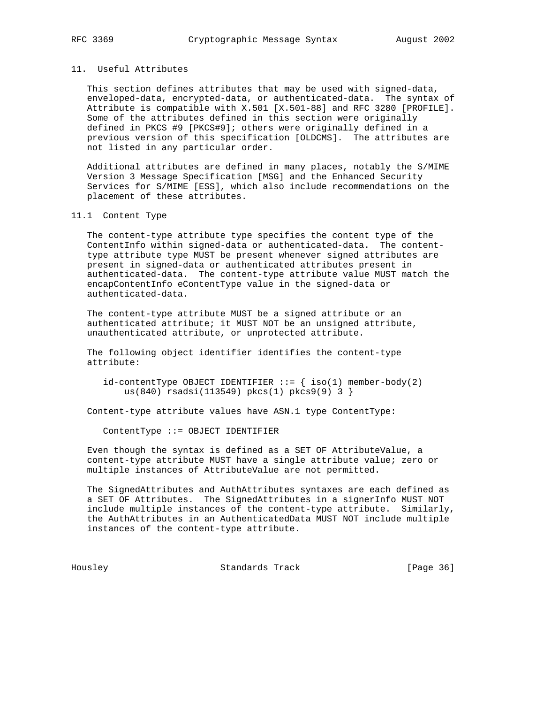# 11. Useful Attributes

 This section defines attributes that may be used with signed-data, enveloped-data, encrypted-data, or authenticated-data. The syntax of Attribute is compatible with X.501 [X.501-88] and RFC 3280 [PROFILE]. Some of the attributes defined in this section were originally defined in PKCS #9 [PKCS#9]; others were originally defined in a previous version of this specification [OLDCMS]. The attributes are not listed in any particular order.

 Additional attributes are defined in many places, notably the S/MIME Version 3 Message Specification [MSG] and the Enhanced Security Services for S/MIME [ESS], which also include recommendations on the placement of these attributes.

## 11.1 Content Type

 The content-type attribute type specifies the content type of the ContentInfo within signed-data or authenticated-data. The content type attribute type MUST be present whenever signed attributes are present in signed-data or authenticated attributes present in authenticated-data. The content-type attribute value MUST match the encapContentInfo eContentType value in the signed-data or authenticated-data.

 The content-type attribute MUST be a signed attribute or an authenticated attribute; it MUST NOT be an unsigned attribute, unauthenticated attribute, or unprotected attribute.

 The following object identifier identifies the content-type attribute:

 $id$ -contentType OBJECT IDENTIFIER ::=  $\{ iso(1)$  member-body(2) us(840) rsadsi(113549) pkcs(1) pkcs9(9) 3 }

Content-type attribute values have ASN.1 type ContentType:

ContentType ::= OBJECT IDENTIFIER

 Even though the syntax is defined as a SET OF AttributeValue, a content-type attribute MUST have a single attribute value; zero or multiple instances of AttributeValue are not permitted.

 The SignedAttributes and AuthAttributes syntaxes are each defined as a SET OF Attributes. The SignedAttributes in a signerInfo MUST NOT include multiple instances of the content-type attribute. Similarly, the AuthAttributes in an AuthenticatedData MUST NOT include multiple instances of the content-type attribute.

Housley Standards Track [Page 36]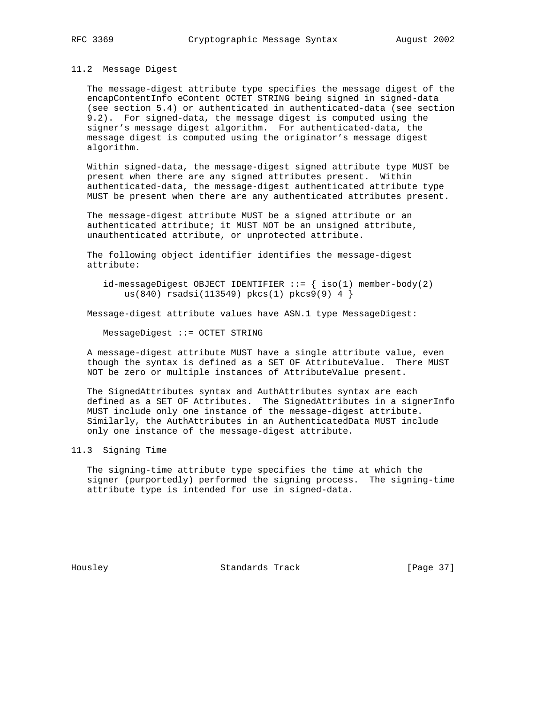#### 11.2 Message Digest

 The message-digest attribute type specifies the message digest of the encapContentInfo eContent OCTET STRING being signed in signed-data (see section 5.4) or authenticated in authenticated-data (see section 9.2). For signed-data, the message digest is computed using the signer's message digest algorithm. For authenticated-data, the message digest is computed using the originator's message digest algorithm.

 Within signed-data, the message-digest signed attribute type MUST be present when there are any signed attributes present. Within authenticated-data, the message-digest authenticated attribute type MUST be present when there are any authenticated attributes present.

 The message-digest attribute MUST be a signed attribute or an authenticated attribute; it MUST NOT be an unsigned attribute, unauthenticated attribute, or unprotected attribute.

 The following object identifier identifies the message-digest attribute:

id-messageDigest OBJECT IDENTIFIER  $::=$  { iso(1) member-body(2) us(840) rsadsi(113549) pkcs(1) pkcs9(9) 4 }

Message-digest attribute values have ASN.1 type MessageDigest:

MessageDigest ::= OCTET STRING

 A message-digest attribute MUST have a single attribute value, even though the syntax is defined as a SET OF AttributeValue. There MUST NOT be zero or multiple instances of AttributeValue present.

 The SignedAttributes syntax and AuthAttributes syntax are each defined as a SET OF Attributes. The SignedAttributes in a signerInfo MUST include only one instance of the message-digest attribute. Similarly, the AuthAttributes in an AuthenticatedData MUST include only one instance of the message-digest attribute.

# 11.3 Signing Time

 The signing-time attribute type specifies the time at which the signer (purportedly) performed the signing process. The signing-time attribute type is intended for use in signed-data.

Housley Standards Track [Page 37]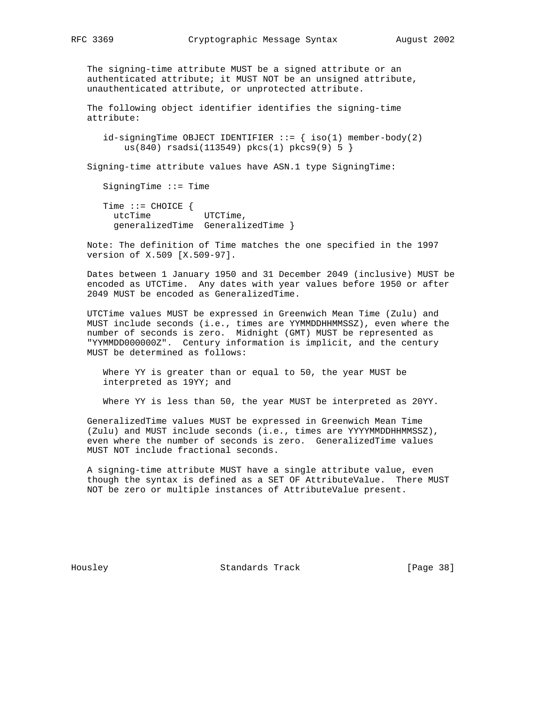The signing-time attribute MUST be a signed attribute or an authenticated attribute; it MUST NOT be an unsigned attribute, unauthenticated attribute, or unprotected attribute.

 The following object identifier identifies the signing-time attribute:

 $id\text{-signingTime } OBJECT IDENTIFFIER ::= \{ iso(1) member-body(2)$ us(840) rsadsi(113549) pkcs(1) pkcs9(9) 5 }

Signing-time attribute values have ASN.1 type SigningTime:

SigningTime ::= Time

 Time ::= CHOICE { utcTime UTCTime, generalizedTime GeneralizedTime }

 Note: The definition of Time matches the one specified in the 1997 version of X.509 [X.509-97].

 Dates between 1 January 1950 and 31 December 2049 (inclusive) MUST be encoded as UTCTime. Any dates with year values before 1950 or after 2049 MUST be encoded as GeneralizedTime.

 UTCTime values MUST be expressed in Greenwich Mean Time (Zulu) and MUST include seconds (i.e., times are YYMMDDHHMMSSZ), even where the number of seconds is zero. Midnight (GMT) MUST be represented as "YYMMDD000000Z". Century information is implicit, and the century MUST be determined as follows:

 Where YY is greater than or equal to 50, the year MUST be interpreted as 19YY; and

Where YY is less than 50, the year MUST be interpreted as 20YY.

 GeneralizedTime values MUST be expressed in Greenwich Mean Time (Zulu) and MUST include seconds (i.e., times are YYYYMMDDHHMMSSZ), even where the number of seconds is zero. GeneralizedTime values MUST NOT include fractional seconds.

 A signing-time attribute MUST have a single attribute value, even though the syntax is defined as a SET OF AttributeValue. There MUST NOT be zero or multiple instances of AttributeValue present.

Housley Standards Track [Page 38]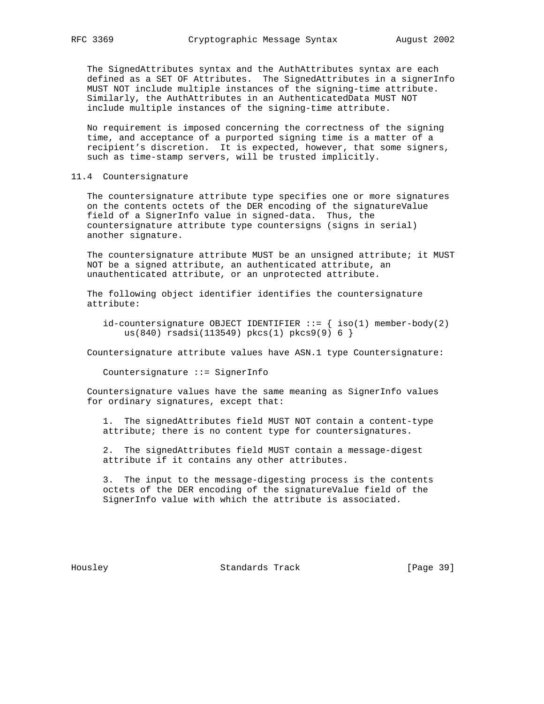The SignedAttributes syntax and the AuthAttributes syntax are each defined as a SET OF Attributes. The SignedAttributes in a signerInfo MUST NOT include multiple instances of the signing-time attribute. Similarly, the AuthAttributes in an AuthenticatedData MUST NOT include multiple instances of the signing-time attribute.

 No requirement is imposed concerning the correctness of the signing time, and acceptance of a purported signing time is a matter of a recipient's discretion. It is expected, however, that some signers, such as time-stamp servers, will be trusted implicitly.

## 11.4 Countersignature

 The countersignature attribute type specifies one or more signatures on the contents octets of the DER encoding of the signatureValue field of a SignerInfo value in signed-data. Thus, the countersignature attribute type countersigns (signs in serial) another signature.

 The countersignature attribute MUST be an unsigned attribute; it MUST NOT be a signed attribute, an authenticated attribute, an unauthenticated attribute, or an unprotected attribute.

 The following object identifier identifies the countersignature attribute:

id-countersignature OBJECT IDENTIFIER  $::=$  { iso(1) member-body(2) us(840) rsadsi(113549) pkcs(1) pkcs9(9) 6 }

Countersignature attribute values have ASN.1 type Countersignature:

Countersignature ::= SignerInfo

 Countersignature values have the same meaning as SignerInfo values for ordinary signatures, except that:

 1. The signedAttributes field MUST NOT contain a content-type attribute; there is no content type for countersignatures.

 2. The signedAttributes field MUST contain a message-digest attribute if it contains any other attributes.

 3. The input to the message-digesting process is the contents octets of the DER encoding of the signatureValue field of the SignerInfo value with which the attribute is associated.

Housley Standards Track [Page 39]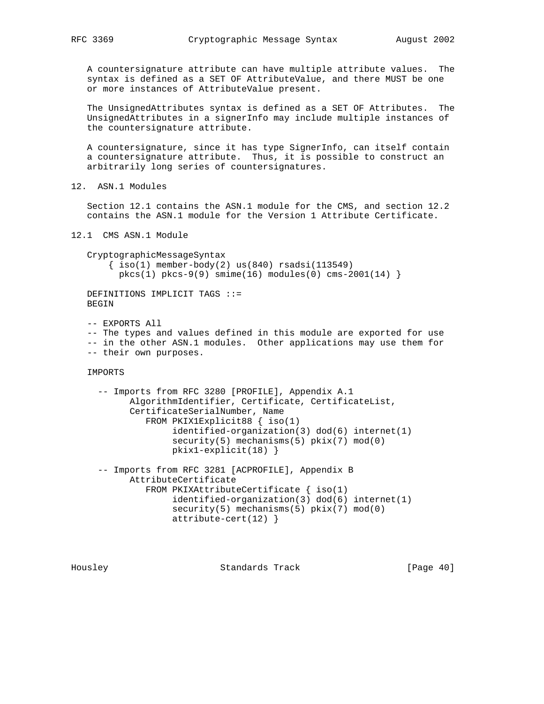A countersignature attribute can have multiple attribute values. The syntax is defined as a SET OF AttributeValue, and there MUST be one or more instances of AttributeValue present.

 The UnsignedAttributes syntax is defined as a SET OF Attributes. The UnsignedAttributes in a signerInfo may include multiple instances of the countersignature attribute.

 A countersignature, since it has type SignerInfo, can itself contain a countersignature attribute. Thus, it is possible to construct an arbitrarily long series of countersignatures.

12. ASN.1 Modules

 Section 12.1 contains the ASN.1 module for the CMS, and section 12.2 contains the ASN.1 module for the Version 1 Attribute Certificate.

12.1 CMS ASN.1 Module

 CryptographicMessageSyntax  $\{ iso(1) member-body(2) us(840) rsadsi(113549)$ pkcs(1) pkcs-9(9) smime(16) modules(0) cms-2001(14) }

 DEFINITIONS IMPLICIT TAGS ::= BEGIN

 -- EXPORTS All -- The types and values defined in this module are exported for use -- in the other ASN.1 modules. Other applications may use them for -- their own purposes.

IMPORTS

```
 -- Imports from RFC 3280 [PROFILE], Appendix A.1
      AlgorithmIdentifier, Certificate, CertificateList,
       CertificateSerialNumber, Name
          FROM PKIX1Explicit88 { iso(1)
               identified-organization(3) dod(6) internet(1)
              security(5) mechanisms(5) pkix(7) mod(0) pkix1-explicit(18) }
 -- Imports from RFC 3281 [ACPROFILE], Appendix B
       AttributeCertificate
          FROM PKIXAttributeCertificate { iso(1)
               identified-organization(3) dod(6) internet(1)
               security(5) mechanisms(5) pkix(7) mod(0)
               attribute-cert(12) }
```
Housley Standards Track [Page 40]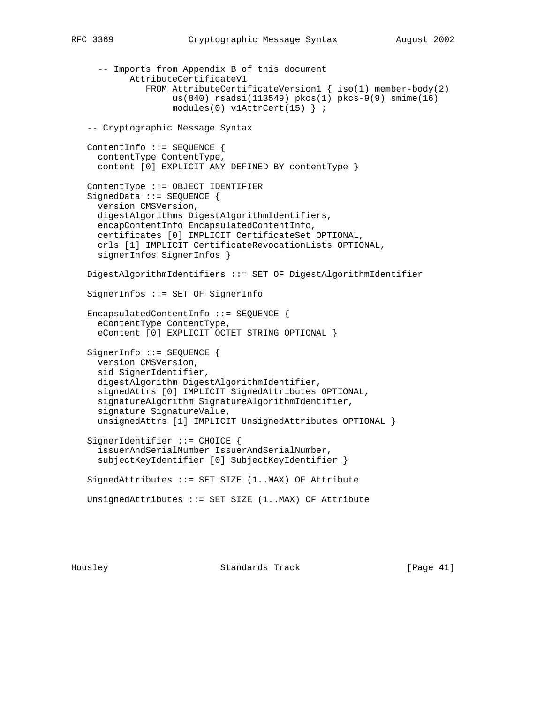```
 -- Imports from Appendix B of this document
         AttributeCertificateV1
            FROM AttributeCertificateVersion1 { iso(1) member-body(2)
                 us(840) rsadsi(113549) pkcs(1) pkcs-9(9) smime(16)
                 modules(0) v1AttrCert(15) } ;
 -- Cryptographic Message Syntax
 ContentInfo ::= SEQUENCE {
   contentType ContentType,
   content [0] EXPLICIT ANY DEFINED BY contentType }
 ContentType ::= OBJECT IDENTIFIER
 SignedData ::= SEQUENCE {
   version CMSVersion,
   digestAlgorithms DigestAlgorithmIdentifiers,
   encapContentInfo EncapsulatedContentInfo,
   certificates [0] IMPLICIT CertificateSet OPTIONAL,
   crls [1] IMPLICIT CertificateRevocationLists OPTIONAL,
   signerInfos SignerInfos }
 DigestAlgorithmIdentifiers ::= SET OF DigestAlgorithmIdentifier
 SignerInfos ::= SET OF SignerInfo
 EncapsulatedContentInfo ::= SEQUENCE {
   eContentType ContentType,
   eContent [0] EXPLICIT OCTET STRING OPTIONAL }
SignerInfo ::= SEQUENCE {
  version CMSVersion,
   sid SignerIdentifier,
   digestAlgorithm DigestAlgorithmIdentifier,
   signedAttrs [0] IMPLICIT SignedAttributes OPTIONAL,
   signatureAlgorithm SignatureAlgorithmIdentifier,
   signature SignatureValue,
   unsignedAttrs [1] IMPLICIT UnsignedAttributes OPTIONAL }
 SignerIdentifier ::= CHOICE {
   issuerAndSerialNumber IssuerAndSerialNumber,
   subjectKeyIdentifier [0] SubjectKeyIdentifier }
 SignedAttributes ::= SET SIZE (1..MAX) OF Attribute
 UnsignedAttributes ::= SET SIZE (1..MAX) OF Attribute
```
Housley Standards Track [Page 41]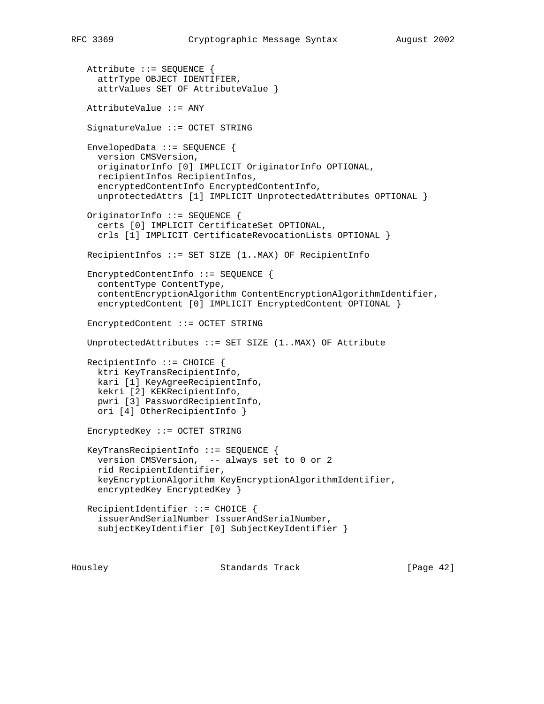Attribute ::= SEQUENCE { attrType OBJECT IDENTIFIER, attrValues SET OF AttributeValue } AttributeValue ::= ANY SignatureValue ::= OCTET STRING EnvelopedData ::= SEQUENCE { version CMSVersion, originatorInfo [0] IMPLICIT OriginatorInfo OPTIONAL, recipientInfos RecipientInfos, encryptedContentInfo EncryptedContentInfo, unprotectedAttrs [1] IMPLICIT UnprotectedAttributes OPTIONAL } OriginatorInfo ::= SEQUENCE { certs [0] IMPLICIT CertificateSet OPTIONAL, crls [1] IMPLICIT CertificateRevocationLists OPTIONAL } RecipientInfos ::= SET SIZE (1..MAX) OF RecipientInfo EncryptedContentInfo ::= SEQUENCE { contentType ContentType, contentEncryptionAlgorithm ContentEncryptionAlgorithmIdentifier, encryptedContent [0] IMPLICIT EncryptedContent OPTIONAL } EncryptedContent ::= OCTET STRING UnprotectedAttributes ::= SET SIZE (1..MAX) OF Attribute RecipientInfo ::= CHOICE { ktri KeyTransRecipientInfo, kari [1] KeyAgreeRecipientInfo, kekri [2] KEKRecipientInfo, pwri [3] PasswordRecipientInfo, ori [4] OtherRecipientInfo } EncryptedKey ::= OCTET STRING KeyTransRecipientInfo ::= SEQUENCE { version CMSVersion, -- always set to 0 or 2 rid RecipientIdentifier, keyEncryptionAlgorithm KeyEncryptionAlgorithmIdentifier, encryptedKey EncryptedKey } RecipientIdentifier ::= CHOICE { issuerAndSerialNumber IssuerAndSerialNumber, subjectKeyIdentifier [0] SubjectKeyIdentifier }

Housley Standards Track [Page 42]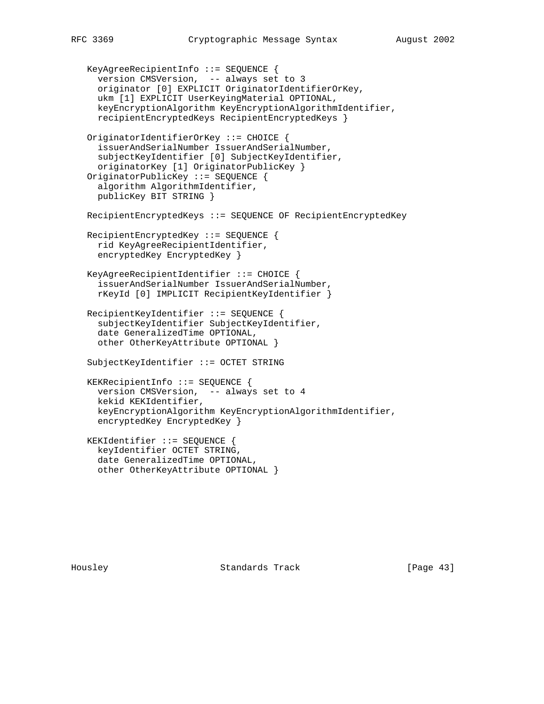```
 KeyAgreeRecipientInfo ::= SEQUENCE {
   version CMSVersion, -- always set to 3
   originator [0] EXPLICIT OriginatorIdentifierOrKey,
   ukm [1] EXPLICIT UserKeyingMaterial OPTIONAL,
   keyEncryptionAlgorithm KeyEncryptionAlgorithmIdentifier,
   recipientEncryptedKeys RecipientEncryptedKeys }
 OriginatorIdentifierOrKey ::= CHOICE {
   issuerAndSerialNumber IssuerAndSerialNumber,
   subjectKeyIdentifier [0] SubjectKeyIdentifier,
   originatorKey [1] OriginatorPublicKey }
 OriginatorPublicKey ::= SEQUENCE {
   algorithm AlgorithmIdentifier,
   publicKey BIT STRING }
 RecipientEncryptedKeys ::= SEQUENCE OF RecipientEncryptedKey
 RecipientEncryptedKey ::= SEQUENCE {
  rid KeyAgreeRecipientIdentifier,
   encryptedKey EncryptedKey }
 KeyAgreeRecipientIdentifier ::= CHOICE {
   issuerAndSerialNumber IssuerAndSerialNumber,
   rKeyId [0] IMPLICIT RecipientKeyIdentifier }
 RecipientKeyIdentifier ::= SEQUENCE {
   subjectKeyIdentifier SubjectKeyIdentifier,
   date GeneralizedTime OPTIONAL,
   other OtherKeyAttribute OPTIONAL }
 SubjectKeyIdentifier ::= OCTET STRING
 KEKRecipientInfo ::= SEQUENCE {
   version CMSVersion, -- always set to 4
   kekid KEKIdentifier,
   keyEncryptionAlgorithm KeyEncryptionAlgorithmIdentifier,
   encryptedKey EncryptedKey }
 KEKIdentifier ::= SEQUENCE {
   keyIdentifier OCTET STRING,
   date GeneralizedTime OPTIONAL,
   other OtherKeyAttribute OPTIONAL }
```
Housley Standards Track [Page 43]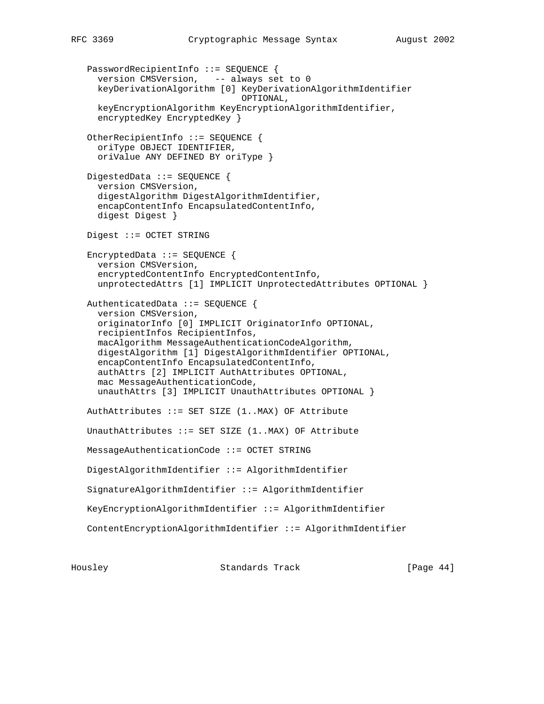PasswordRecipientInfo ::= SEQUENCE { version CMSVersion, -- always set to 0 keyDerivationAlgorithm [0] KeyDerivationAlgorithmIdentifier OPTIONAL, keyEncryptionAlgorithm KeyEncryptionAlgorithmIdentifier, encryptedKey EncryptedKey } OtherRecipientInfo ::= SEQUENCE { oriType OBJECT IDENTIFIER, oriValue ANY DEFINED BY oriType } DigestedData ::= SEQUENCE { version CMSVersion, digestAlgorithm DigestAlgorithmIdentifier, encapContentInfo EncapsulatedContentInfo, digest Digest } Digest ::= OCTET STRING EncryptedData ::= SEQUENCE { version CMSVersion, encryptedContentInfo EncryptedContentInfo, unprotectedAttrs [1] IMPLICIT UnprotectedAttributes OPTIONAL } AuthenticatedData ::= SEQUENCE { version CMSVersion, originatorInfo [0] IMPLICIT OriginatorInfo OPTIONAL, recipientInfos RecipientInfos, macAlgorithm MessageAuthenticationCodeAlgorithm, digestAlgorithm [1] DigestAlgorithmIdentifier OPTIONAL, encapContentInfo EncapsulatedContentInfo, authAttrs [2] IMPLICIT AuthAttributes OPTIONAL, mac MessageAuthenticationCode, unauthAttrs [3] IMPLICIT UnauthAttributes OPTIONAL } AuthAttributes ::= SET SIZE (1..MAX) OF Attribute UnauthAttributes  $::=$  SET SIZE  $(1..$ MAX) OF Attribute MessageAuthenticationCode ::= OCTET STRING DigestAlgorithmIdentifier ::= AlgorithmIdentifier SignatureAlgorithmIdentifier ::= AlgorithmIdentifier KeyEncryptionAlgorithmIdentifier ::= AlgorithmIdentifier ContentEncryptionAlgorithmIdentifier ::= AlgorithmIdentifier

Housley Standards Track [Page 44]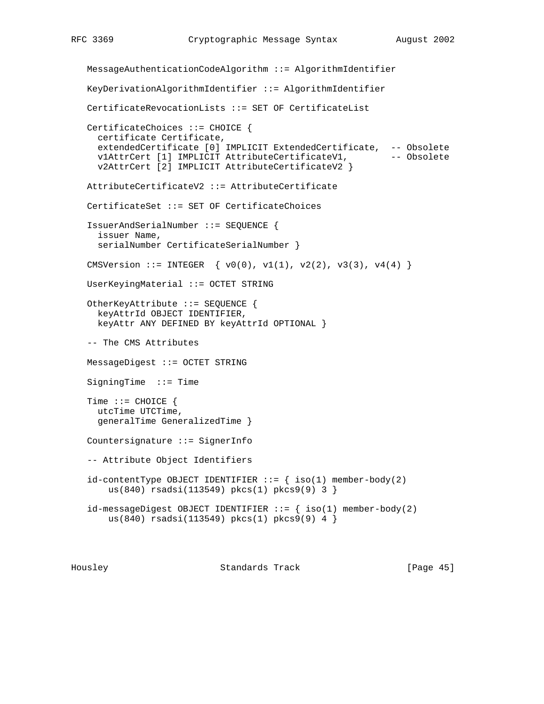```
 MessageAuthenticationCodeAlgorithm ::= AlgorithmIdentifier
 KeyDerivationAlgorithmIdentifier ::= AlgorithmIdentifier
 CertificateRevocationLists ::= SET OF CertificateList
 CertificateChoices ::= CHOICE {
  certificate Certificate,
  extendedCertificate [0] IMPLICIT ExtendedCertificate, -- Obsolete
  v1AttrCert [1] IMPLICIT AttributeCertificateV1, -- Obsolete
   v2AttrCert [2] IMPLICIT AttributeCertificateV2 }
 AttributeCertificateV2 ::= AttributeCertificate
 CertificateSet ::= SET OF CertificateChoices
 IssuerAndSerialNumber ::= SEQUENCE {
  issuer Name,
  serialNumber CertificateSerialNumber }
CMSVersion ::= INTEGER \{ v0(0), v1(1), v2(2), v3(3), v4(4) \} UserKeyingMaterial ::= OCTET STRING
 OtherKeyAttribute ::= SEQUENCE {
   keyAttrId OBJECT IDENTIFIER,
   keyAttr ANY DEFINED BY keyAttrId OPTIONAL }
 -- The CMS Attributes
 MessageDigest ::= OCTET STRING
 SigningTime ::= Time
Time ::= CHOICE {
  utcTime UTCTime,
   generalTime GeneralizedTime }
 Countersignature ::= SignerInfo
 -- Attribute Object Identifiers
id-contentType OBJECT IDENTIFIER ::= \{ iso(1) member-body(2) us(840) rsadsi(113549) pkcs(1) pkcs9(9) 3 }
id-messageDigest OBJECT IDENTIFIER ::= \{ \text{ iso}(1) \text{ member-body}(2) us(840) rsadsi(113549) pkcs(1) pkcs9(9) 4 }
```
Housley Standards Track [Page 45]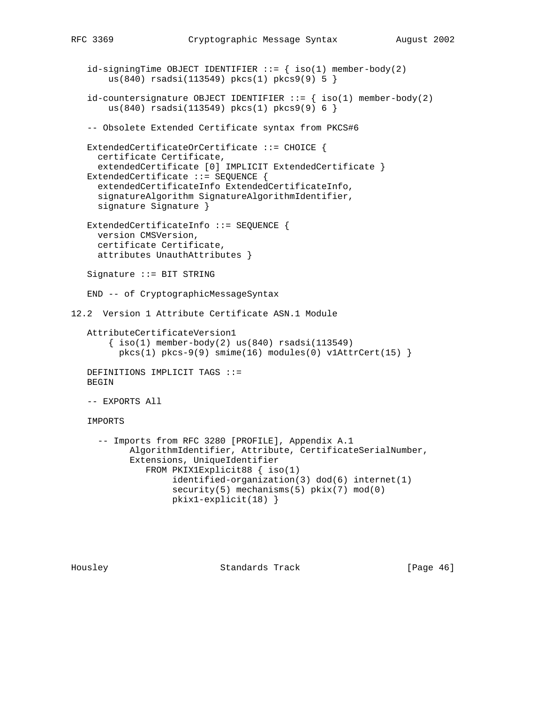```
id\text{-}sigmoid OBJECT IDENTIFIER ::= { iso(1) member-body(2)
        us(840) rsadsi(113549) pkcs(1) pkcs9(9) 5 }
   id-countersignature OBJECT IDENTIFIER ::= { iso(1) member-body(2)
        us(840) rsadsi(113549) pkcs(1) pkcs9(9) 6 }
    -- Obsolete Extended Certificate syntax from PKCS#6
   ExtendedCertificateOrCertificate ::= CHOICE {
     certificate Certificate,
     extendedCertificate [0] IMPLICIT ExtendedCertificate }
   ExtendedCertificate ::= SEQUENCE {
      extendedCertificateInfo ExtendedCertificateInfo,
      signatureAlgorithm SignatureAlgorithmIdentifier,
      signature Signature }
  ExtendedCertificateInfo ::= SEQUENCE {
     version CMSVersion,
     certificate Certificate,
      attributes UnauthAttributes }
    Signature ::= BIT STRING
    END -- of CryptographicMessageSyntax
12.2 Version 1 Attribute Certificate ASN.1 Module
   AttributeCertificateVersion1
       \{ iso(1) member-body(2) us(840) rsadsi(113549)pkcs(1) pkcs-9(9) simme(16) modules(0) v1AttrCert(15) DEFINITIONS IMPLICIT TAGS ::=
   BEGIN
   -- EXPORTS All
   IMPORTS
      -- Imports from RFC 3280 [PROFILE], Appendix A.1
            AlgorithmIdentifier, Attribute, CertificateSerialNumber,
            Extensions, UniqueIdentifier
               FROM PKIX1Explicit88 { iso(1)
                    identified-organization(3) dod(6) internet(1)
                   security(5) mechanisms(5) pix(7) mod(0) pkix1-explicit(18) }
```
Housley Standards Track [Page 46]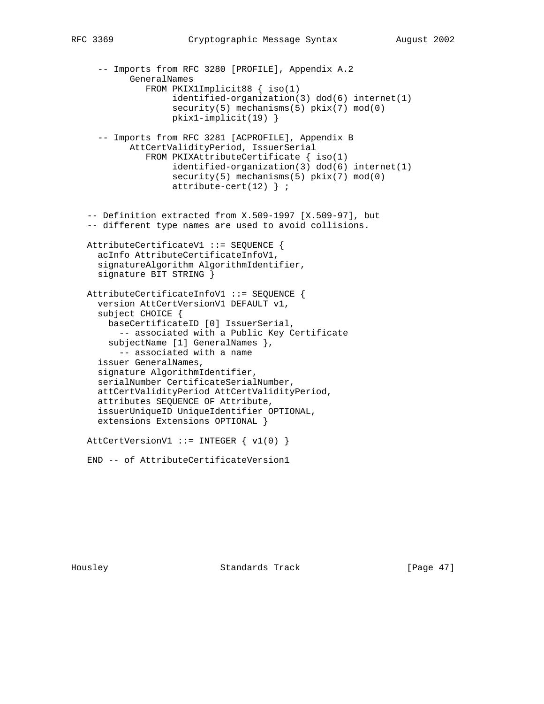```
-- Imports from RFC 3280 [PROFILE], Appendix A.2
         GeneralNames
            FROM PKIX1Implicit88 { iso(1)
                 identified-organization(3) dod(6) internet(1)
                 security(5) mechanisms(5) pkix(7) mod(0)
                 pkix1-implicit(19) }
   -- Imports from RFC 3281 [ACPROFILE], Appendix B
         AttCertValidityPeriod, IssuerSerial
            FROM PKIXAttributeCertificate { iso(1)
                 identified-organization(3) dod(6) internet(1)
                security(5) mechanisms(5) pkix(7) mod(0) attribute-cert(12) } ;
 -- Definition extracted from X.509-1997 [X.509-97], but
 -- different type names are used to avoid collisions.
 AttributeCertificateV1 ::= SEQUENCE {
   acInfo AttributeCertificateInfoV1,
   signatureAlgorithm AlgorithmIdentifier,
   signature BIT STRING }
 AttributeCertificateInfoV1 ::= SEQUENCE {
   version AttCertVersionV1 DEFAULT v1,
   subject CHOICE {
     baseCertificateID [0] IssuerSerial,
       -- associated with a Public Key Certificate
     subjectName [1] GeneralNames },
      -- associated with a name
   issuer GeneralNames,
   signature AlgorithmIdentifier,
   serialNumber CertificateSerialNumber,
   attCertValidityPeriod AttCertValidityPeriod,
   attributes SEQUENCE OF Attribute,
   issuerUniqueID UniqueIdentifier OPTIONAL,
   extensions Extensions OPTIONAL }
AttCertVersionV1 ::= INTEGER \{ v1(0) \}
```
END -- of AttributeCertificateVersion1

Housley Standards Track [Page 47]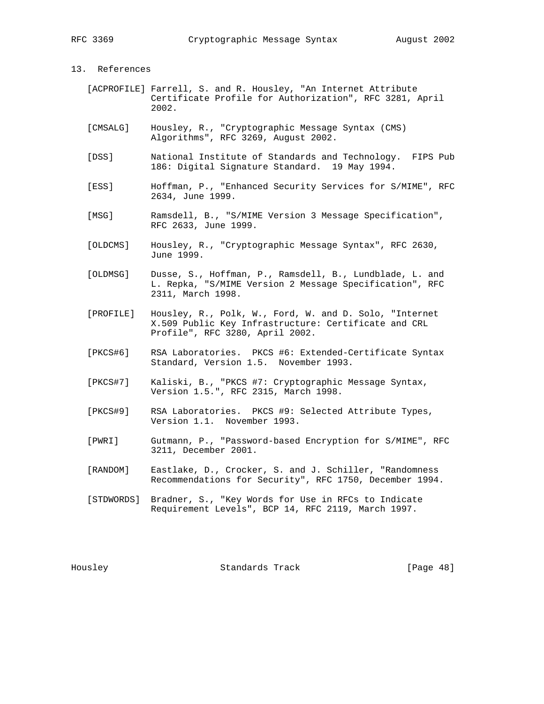# 13. References

- [ACPROFILE] Farrell, S. and R. Housley, "An Internet Attribute Certificate Profile for Authorization", RFC 3281, April 2002.
- [CMSALG] Housley, R., "Cryptographic Message Syntax (CMS) Algorithms", RFC 3269, August 2002.
- [DSS] National Institute of Standards and Technology. FIPS Pub 186: Digital Signature Standard. 19 May 1994.
- [ESS] Hoffman, P., "Enhanced Security Services for S/MIME", RFC 2634, June 1999.
- [MSG] Ramsdell, B., "S/MIME Version 3 Message Specification", RFC 2633, June 1999.
- [OLDCMS] Housley, R., "Cryptographic Message Syntax", RFC 2630, June 1999.
- [OLDMSG] Dusse, S., Hoffman, P., Ramsdell, B., Lundblade, L. and L. Repka, "S/MIME Version 2 Message Specification", RFC 2311, March 1998.
- [PROFILE] Housley, R., Polk, W., Ford, W. and D. Solo, "Internet X.509 Public Key Infrastructure: Certificate and CRL Profile", RFC 3280, April 2002.
- [PKCS#6] RSA Laboratories. PKCS #6: Extended-Certificate Syntax Standard, Version 1.5. November 1993.
- [PKCS#7] Kaliski, B., "PKCS #7: Cryptographic Message Syntax, Version 1.5.", RFC 2315, March 1998.
- [PKCS#9] RSA Laboratories. PKCS #9: Selected Attribute Types, Version 1.1. November 1993.
- [PWRI] Gutmann, P., "Password-based Encryption for S/MIME", RFC 3211, December 2001.
- [RANDOM] Eastlake, D., Crocker, S. and J. Schiller, "Randomness Recommendations for Security", RFC 1750, December 1994.
- [STDWORDS] Bradner, S., "Key Words for Use in RFCs to Indicate Requirement Levels", BCP 14, RFC 2119, March 1997.

Housley Standards Track [Page 48]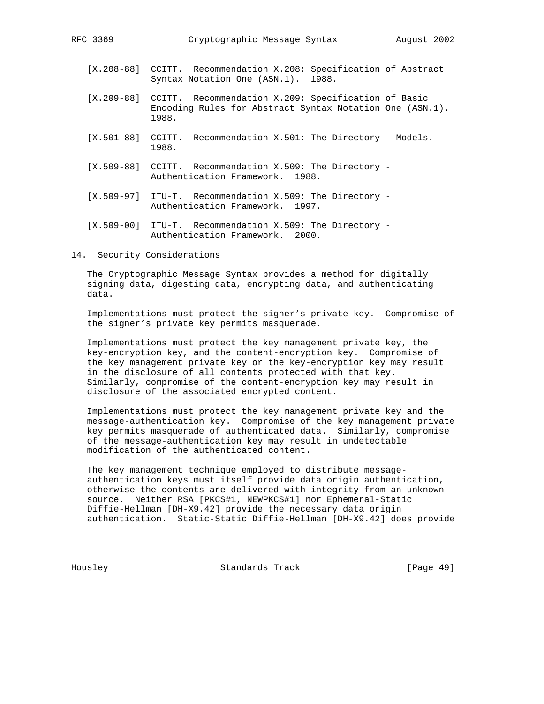- [X.208-88] CCITT. Recommendation X.208: Specification of Abstract Syntax Notation One (ASN.1). 1988.
- [X.209-88] CCITT. Recommendation X.209: Specification of Basic Encoding Rules for Abstract Syntax Notation One (ASN.1). 1988.
- [X.501-88] CCITT. Recommendation X.501: The Directory Models. 1988.
- [X.509-88] CCITT. Recommendation X.509: The Directory Authentication Framework. 1988.
- [X.509-97] ITU-T. Recommendation X.509: The Directory Authentication Framework. 1997.
- [X.509-00] ITU-T. Recommendation X.509: The Directory Authentication Framework. 2000.

# 14. Security Considerations

 The Cryptographic Message Syntax provides a method for digitally signing data, digesting data, encrypting data, and authenticating data.

 Implementations must protect the signer's private key. Compromise of the signer's private key permits masquerade.

 Implementations must protect the key management private key, the key-encryption key, and the content-encryption key. Compromise of the key management private key or the key-encryption key may result in the disclosure of all contents protected with that key. Similarly, compromise of the content-encryption key may result in disclosure of the associated encrypted content.

 Implementations must protect the key management private key and the message-authentication key. Compromise of the key management private key permits masquerade of authenticated data. Similarly, compromise of the message-authentication key may result in undetectable modification of the authenticated content.

 The key management technique employed to distribute message authentication keys must itself provide data origin authentication, otherwise the contents are delivered with integrity from an unknown source. Neither RSA [PKCS#1, NEWPKCS#1] nor Ephemeral-Static Diffie-Hellman [DH-X9.42] provide the necessary data origin authentication. Static-Static Diffie-Hellman [DH-X9.42] does provide

Housley Standards Track [Page 49]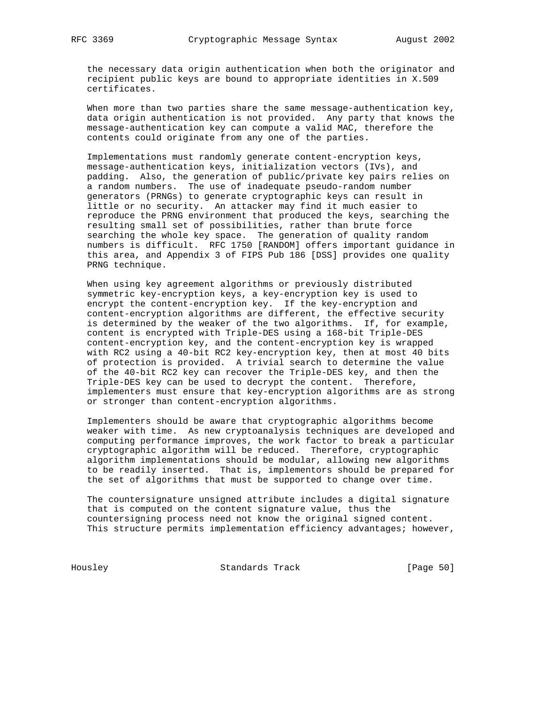the necessary data origin authentication when both the originator and recipient public keys are bound to appropriate identities in X.509 certificates.

 When more than two parties share the same message-authentication key, data origin authentication is not provided. Any party that knows the message-authentication key can compute a valid MAC, therefore the contents could originate from any one of the parties.

 Implementations must randomly generate content-encryption keys, message-authentication keys, initialization vectors (IVs), and padding. Also, the generation of public/private key pairs relies on a random numbers. The use of inadequate pseudo-random number generators (PRNGs) to generate cryptographic keys can result in little or no security. An attacker may find it much easier to reproduce the PRNG environment that produced the keys, searching the resulting small set of possibilities, rather than brute force searching the whole key space. The generation of quality random numbers is difficult. RFC 1750 [RANDOM] offers important guidance in this area, and Appendix 3 of FIPS Pub 186 [DSS] provides one quality PRNG technique.

 When using key agreement algorithms or previously distributed symmetric key-encryption keys, a key-encryption key is used to encrypt the content-encryption key. If the key-encryption and content-encryption algorithms are different, the effective security is determined by the weaker of the two algorithms. If, for example, content is encrypted with Triple-DES using a 168-bit Triple-DES content-encryption key, and the content-encryption key is wrapped with RC2 using a 40-bit RC2 key-encryption key, then at most 40 bits of protection is provided. A trivial search to determine the value of the 40-bit RC2 key can recover the Triple-DES key, and then the Triple-DES key can be used to decrypt the content. Therefore, implementers must ensure that key-encryption algorithms are as strong or stronger than content-encryption algorithms.

 Implementers should be aware that cryptographic algorithms become weaker with time. As new cryptoanalysis techniques are developed and computing performance improves, the work factor to break a particular cryptographic algorithm will be reduced. Therefore, cryptographic algorithm implementations should be modular, allowing new algorithms to be readily inserted. That is, implementors should be prepared for the set of algorithms that must be supported to change over time.

 The countersignature unsigned attribute includes a digital signature that is computed on the content signature value, thus the countersigning process need not know the original signed content. This structure permits implementation efficiency advantages; however,

Housley Standards Track [Page 50]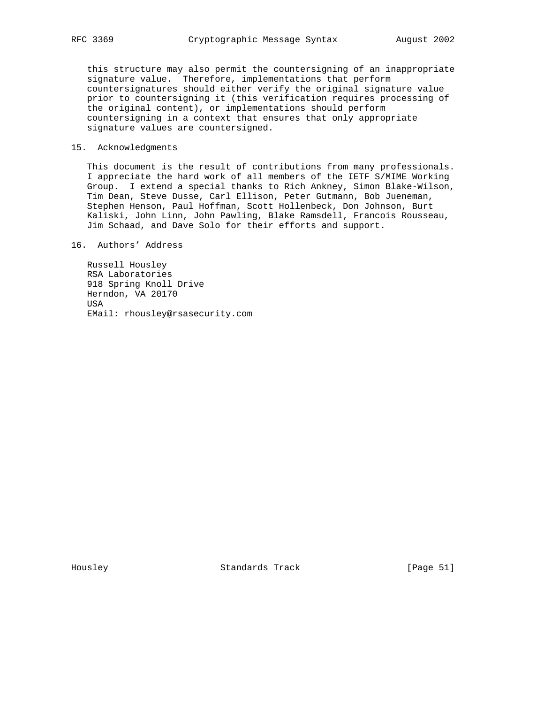this structure may also permit the countersigning of an inappropriate signature value. Therefore, implementations that perform countersignatures should either verify the original signature value prior to countersigning it (this verification requires processing of the original content), or implementations should perform countersigning in a context that ensures that only appropriate signature values are countersigned.

# 15. Acknowledgments

 This document is the result of contributions from many professionals. I appreciate the hard work of all members of the IETF S/MIME Working Group. I extend a special thanks to Rich Ankney, Simon Blake-Wilson, Tim Dean, Steve Dusse, Carl Ellison, Peter Gutmann, Bob Jueneman, Stephen Henson, Paul Hoffman, Scott Hollenbeck, Don Johnson, Burt Kaliski, John Linn, John Pawling, Blake Ramsdell, Francois Rousseau, Jim Schaad, and Dave Solo for their efforts and support.

16. Authors' Address

 Russell Housley RSA Laboratories 918 Spring Knoll Drive Herndon, VA 20170 USA EMail: rhousley@rsasecurity.com

Housley Standards Track [Page 51]